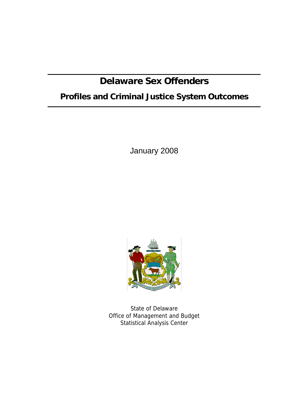# **Delaware Sex Offenders**

# **Profiles and Criminal Justice System Outcomes**

January 2008



State of Delaware Office of Management and Budget Statistical Analysis Center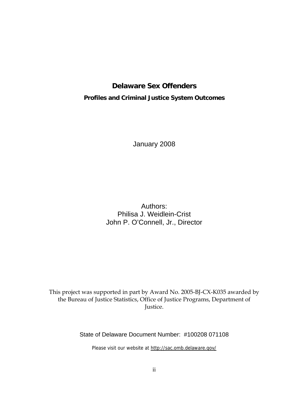# **Delaware Sex Offenders**

**Profiles and Criminal Justice System Outcomes**

January 2008

Authors: Philisa J. Weidlein-Crist John P. O'Connell, Jr., Director

This project was supported in part by Award No. 2005-BJ-CX-K035 awarded by the Bureau of Justice Statistics, Office of Justice Programs, Department of Justice.

State of Delaware Document Number: #100208 071108

Please visit our website at http://sac.omb.delaware.gov/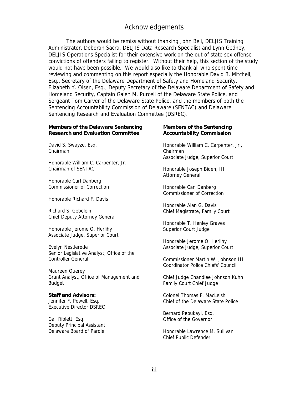# Acknowledgements

The authors would be remiss without thanking John Bell, DELJIS Training Administrator, Deborah Sacra, DELJIS Data Research Specialist and Lynn Gedney, DELJIS Operations Specialist for their extensive work on the out of state sex offense convictions of offenders failing to register. Without their help, this section of the study would not have been possible. We would also like to thank all who spent time reviewing and commenting on this report especially the Honorable David B. Mitchell, Esq., Secretary of the Delaware Department of Safety and Homeland Security, Elizabeth Y. Olsen, Esq., Deputy Secretary of the Delaware Department of Safety and Homeland Security, Captain Galen M. Purcell of the Delaware State Police, and Sergeant Tom Carver of the Delaware State Police, and the members of both the Sentencing Accountability Commission of Delaware (SENTAC) and Delaware Sentencing Research and Evaluation Committee (DSREC).

#### **Members of the Delaware Sentencing Research and Evaluation Committee**

David S. Swayze, Esq. Chairman

Honorable William C. Carpenter, Jr. Chairman of SENTAC

Honorable Carl Danberg Commissioner of Correction

Honorable Richard F. Davis

Richard S. Gebelein Chief Deputy Attorney General

Honorable Jerome O. Herlihy Associate Judge, Superior Court

Evelyn Nestlerode Senior Legislative Analyst, Office of the Controller General

Maureen Querey Grant Analyst, Office of Management and Budget

**Staff and Advisors:**  Jennifer F. Powell, Esq. Executive Director DSREC

Gail Riblett, Esq. Deputy Principal Assistant Delaware Board of Parole

#### **Members of the Sentencing Accountability Commission**

Honorable William C. Carpenter, Jr., Chairman Associate Judge, Superior Court

Honorable Joseph Biden, III Attorney General

Honorable Carl Danberg Commissioner of Correction

Honorable Alan G. Davis Chief Magistrate, Family Court

Honorable T. Henley Graves Superior Court Judge

Honorable Jerome O. Herlihy Associate Judge, Superior Court

Commissioner Martin W. Johnson III Coordinator Police Chiefs' Council

Chief Judge Chandlee Johnson Kuhn Family Court Chief Judge

Colonel Thomas F. MacLeish Chief of the Delaware State Police

Bernard Pepukayi, Esq. Office of the Governor

Honorable Lawrence M. Sullivan Chief Public Defender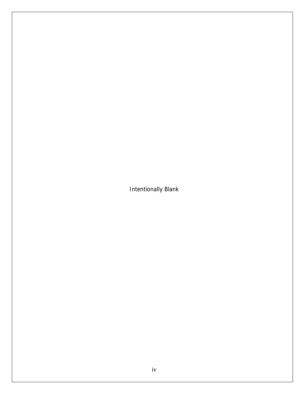Intentionally Blank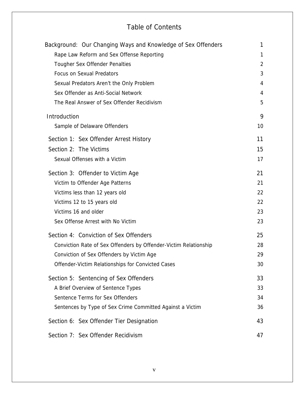# Table of Contents

| Background: Our Changing Ways and Knowledge of Sex Offenders     | 1              |
|------------------------------------------------------------------|----------------|
| Rape Law Reform and Sex Offense Reporting                        | 1              |
| Tougher Sex Offender Penalties                                   | 2              |
| <b>Focus on Sexual Predators</b>                                 | 3              |
| Sexual Predators Aren't the Only Problem                         | 4              |
| Sex Offender as Anti-Social Network                              | $\overline{4}$ |
| The Real Answer of Sex Offender Recidivism                       | 5              |
| Introduction                                                     | 9              |
| Sample of Delaware Offenders                                     | 10             |
| Section 1: Sex Offender Arrest History                           | 11             |
| Section 2: The Victims                                           | 15             |
| Sexual Offenses with a Victim                                    | 17             |
| Section 3: Offender to Victim Age                                | 21             |
| Victim to Offender Age Patterns                                  | 21             |
| Victims less than 12 years old                                   | 22             |
| Victims 12 to 15 years old                                       | 22             |
| Victims 16 and older                                             | 23             |
| Sex Offense Arrest with No Victim                                | 23             |
| Section 4: Conviction of Sex Offenders                           | 25             |
| Conviction Rate of Sex Offenders by Offender-Victim Relationship | 28             |
| Conviction of Sex Offenders by Victim Age                        | 29             |
| Offender-Victim Relationships for Convicted Cases                | 30             |
| Section 5: Sentencing of Sex Offenders                           | 33             |
| A Brief Overview of Sentence Types                               | 33             |
| Sentence Terms for Sex Offenders                                 | 34             |
| Sentences by Type of Sex Crime Committed Against a Victim        | 36             |
| Section 6: Sex Offender Tier Designation                         | 43             |
| Section 7: Sex Offender Recidivism                               | 47             |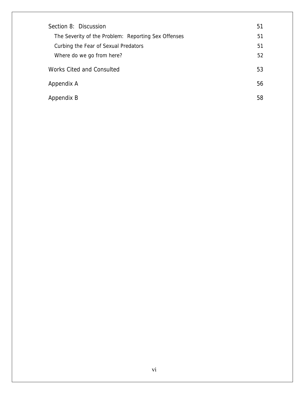| Section 8: Discussion                               | 51 |
|-----------------------------------------------------|----|
| The Severity of the Problem: Reporting Sex Offenses | 51 |
| Curbing the Fear of Sexual Predators                | 51 |
| Where do we go from here?                           | 52 |
| Works Cited and Consulted                           | 53 |
| Appendix A                                          | 56 |
| Appendix B                                          | 58 |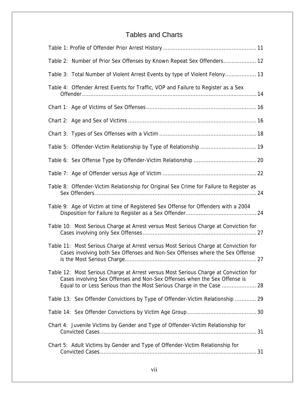# Tables and Charts

| Table 2: Number of Prior Sex Offenses by Known Repeat Sex Offenders 12                                                                                                                                                                     |
|--------------------------------------------------------------------------------------------------------------------------------------------------------------------------------------------------------------------------------------------|
| Table 3: Total Number of Violent Arrest Events by type of Violent Felony 13                                                                                                                                                                |
| Table 4: Offender Arrest Events for Traffic, VOP and Failure to Register as a Sex                                                                                                                                                          |
|                                                                                                                                                                                                                                            |
|                                                                                                                                                                                                                                            |
|                                                                                                                                                                                                                                            |
|                                                                                                                                                                                                                                            |
|                                                                                                                                                                                                                                            |
|                                                                                                                                                                                                                                            |
| Table 8: Offender-Victim Relationship for Original Sex Crime for Failure to Register as                                                                                                                                                    |
| Table 9: Age of Victim at time of Registered Sex Offense for Offenders with a 2004                                                                                                                                                         |
| Table 10: Most Serious Charge at Arrest versus Most Serious Charge at Conviction for                                                                                                                                                       |
| Table 11: Most Serious Charge at Arrest versus Most Serious Charge at Conviction for<br>Cases involving both Sex Offenses and Non-Sex Offenses where the Sex Offense                                                                       |
| Table 12: Most Serious Charge at Arrest versus Most Serious Charge at Conviction for<br>Cases involving Sex Offenses and Non-Sex Offenses when the Sex Offense is<br>Equal to or Less Serious than the Most Serious Charge in the Case  28 |
| Table 13: Sex Offender Convictions by Type of Offender-Victim Relationship  29                                                                                                                                                             |
|                                                                                                                                                                                                                                            |
| Chart 4: Juvenile Victims by Gender and Type of Offender-Victim Relationship for                                                                                                                                                           |
| Chart 5: Adult Victims by Gender and Type of Offender-Victim Relationship for                                                                                                                                                              |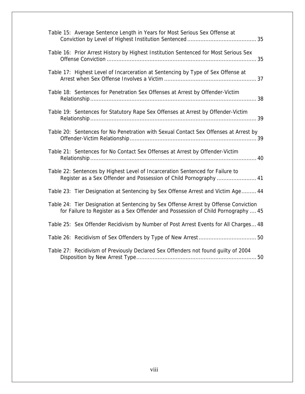| Table 15: Average Sentence Length in Years for Most Serious Sex Offense at                                                                                                |
|---------------------------------------------------------------------------------------------------------------------------------------------------------------------------|
| Table 16: Prior Arrest History by Highest Institution Sentenced for Most Serious Sex                                                                                      |
| Table 17: Highest Level of Incarceration at Sentencing by Type of Sex Offense at                                                                                          |
| Table 18: Sentences for Penetration Sex Offenses at Arrest by Offender-Victim                                                                                             |
| Table 19: Sentences for Statutory Rape Sex Offenses at Arrest by Offender-Victim                                                                                          |
| Table 20: Sentences for No Penetration with Sexual Contact Sex Offenses at Arrest by                                                                                      |
| Table 21: Sentences for No Contact Sex Offenses at Arrest by Offender-Victim                                                                                              |
| Table 22: Sentences by Highest Level of Incarceration Sentenced for Failure to<br>Register as a Sex Offender and Possession of Child Pornography  41                      |
| Table 23: Tier Designation at Sentencing by Sex Offense Arrest and Victim Age 44                                                                                          |
| Table 24: Tier Designation at Sentencing by Sex Offense Arrest by Offense Conviction<br>for Failure to Register as a Sex Offender and Possession of Child Pornography  45 |
| Table 25: Sex Offender Recidivism by Number of Post Arrest Events for All Charges 48                                                                                      |
|                                                                                                                                                                           |
| Table 27: Recidivism of Previously Declared Sex Offenders not found guilty of 2004                                                                                        |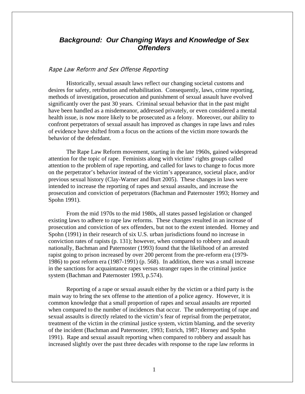# <span id="page-8-0"></span>*Background: Our Changing Ways and Knowledge of Sex Offenders*

#### Rape Law Reform and Sex Offense Reporting

Historically, sexual assault laws reflect our changing societal customs and desires for safety, retribution and rehabilitation. Consequently, laws, crime reporting, methods of investigation, prosecution and punishment of sexual assault have evolved significantly over the past 30 years. Criminal sexual behavior that in the past might have been handled as a misdemeanor, addressed privately, or even considered a mental health issue, is now more likely to be prosecuted as a felony. Moreover, our ability to confront perpetrators of sexual assault has improved as changes in rape laws and rules of evidence have shifted from a focus on the actions of the victim more towards the behavior of the defendant.

The Rape Law Reform movement, starting in the late 1960s, gained widespread attention for the topic of rape. Feminists along with victims' rights groups called attention to the problem of rape reporting, and called for laws to change to focus more on the perpetrator's behavior instead of the victim's appearance, societal place, and/or previous sexual history (Clay-Warner and Burt 2005). These changes in laws were intended to increase the reporting of rapes and sexual assaults, and increase the prosecution and conviction of perpetrators (Bachman and Paternoster 1993; Horney and Spohn 1991).

From the mid 1970s to the mid 1980s, all states passed legislation or changed existing laws to adhere to rape law reforms. These changes resulted in an increase of prosecution and conviction of sex offenders, but not to the extent intended. Horney and Spohn (1991) in their research of six U.S. urban jurisdictions found no increase in conviction rates of rapists (p. 131); however, when compared to robbery and assault nationally, Bachman and Paternoster (1993) found that the likelihood of an arrested rapist going to prison increased by over 200 percent from the pre-reform era (1979- 1986) to post reform era (1987-1991) (p. 568). In addition, there was a small increase in the sanctions for acquaintance rapes versus stranger rapes in the criminal justice system (Bachman and Paternoster 1993, p.574).

Reporting of a rape or sexual assault either by the victim or a third party is the main way to bring the sex offense to the attention of a police agency. However, it is common knowledge that a small proportion of rapes and sexual assaults are reported when compared to the number of incidences that occur. The underreporting of rape and sexual assaults is directly related to the victim's fear of reprisal from the perpetrator, treatment of the victim in the criminal justice system, victim blaming, and the severity of the incident (Bachman and Paternoster, 1993; Estrich, 1987; Horney and Spohn 1991). Rape and sexual assault reporting when compared to robbery and assault has increased slightly over the past three decades with response to the rape law reforms in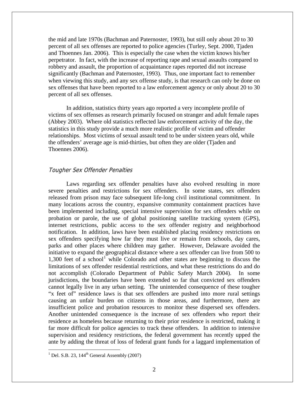<span id="page-9-0"></span>the mid and late 1970s (Bachman and Paternoster, 1993), but still only about 20 to 30 percent of all sex offenses are reported to police agencies (Turley, Sept. 2000, Tjaden and Thoennes Jan. 2006). This is especially the case when the victim knows his/her perpetrator. In fact, with the increase of reporting rape and sexual assaults compared to robbery and assault, the proportion of acquaintance rapes reported did not increase significantly (Bachman and Paternoster, 1993). Thus, one important fact to remember when viewing this study, and any sex offense study, is that research can only be done on sex offenses that have been reported to a law enforcement agency or only about 20 to 30 percent of all sex offenses.

In addition, statistics thirty years ago reported a very incomplete profile of victims of sex offenses as research primarily focused on stranger and adult female rapes (Abbey 2003). Where old statistics reflected law enforcement activity of the day, the statistics in this study provide a much more realistic profile of victim and offender relationships. Most victims of sexual assault tend to be under sixteen years old, while the offenders' average age is mid-thirties, but often they are older (Tjaden and Thoennes 2006).

#### Tougher Sex Offender Penalties

Laws regarding sex offender penalties have also evolved resulting in more severe penalties and restrictions for sex offenders. In some states, sex offenders released from prison may face subsequent life-long civil institutional commitment. In many locations across the country, expansive community containment practices have been implemented including, special intensive supervision for sex offenders while on probation or parole, the use of global positioning satellite tracking system (GPS), internet restrictions, public access to the sex offender registry and neighborhood notification. In addition, laws have been established placing residency restrictions on sex offenders specifying how far they must live or remain from schools, day cares, parks and other places where children may gather. However, Delaware avoided the initiative to expand the geographical distance where a sex offender can live from 500 to [1](#page-9-1),300 feet of a school<sup>1</sup> while Colorado and other states are beginning to discuss the limitations of sex offender residential restrictions, and what these restrictions do and do not accomplish (Colorado Department of Public Safety March 2004). In some jurisdictions, the boundaries have been extended so far that convicted sex offenders cannot legally live in any urban setting. The unintended consequence of these tougher "x feet of" residence laws is that sex offenders are pushed into more rural settings causing an unfair burden on citizens in those areas, and furthermore, there are insufficient police and probation resources to monitor these dispersed sex offenders. Another unintended consequence is the increase of sex offenders who report their residence as homeless because returning to their prior residence is restricted, making it far more difficult for police agencies to track these offenders. In addition to intensive supervision and residency restrictions, the federal government has recently upped the ante by adding the threat of loss of federal grant funds for a laggard implementation of

<span id="page-9-1"></span> $\frac{1}{1}$  Del. S.B. 23, 144<sup>th</sup> General Assembly (2007)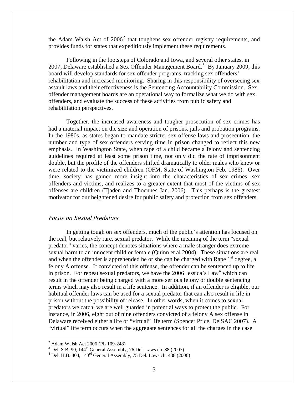<span id="page-10-0"></span>the Adam Walsh Act of  $2006<sup>2</sup>$  $2006<sup>2</sup>$  that toughens sex offender registry requirements, and provides funds for states that expeditiously implement these requirements.

Following in the footsteps of Colorado and Iowa, and several other states, in 2007, Delaware established a Sex Offender Management Board.<sup>[3](#page-10-2)</sup> By January 2009, this board will develop standards for sex offender programs, tracking sex offenders' rehabilitation and increased monitoring. Sharing in this responsibility of overseeing sex assault laws and their effectiveness is the Sentencing Accountability Commission. Sex offender management boards are an operational way to formalize what we do with sex offenders, and evaluate the success of these activities from public safety and rehabilitation perspectives.

Together, the increased awareness and tougher prosecution of sex crimes has had a material impact on the size and operation of prisons, jails and probation programs. In the 1980s, as states began to mandate stricter sex offense laws and prosecution, the number and type of sex offenders serving time in prison changed to reflect this new emphasis. In Washington State, when rape of a child became a felony and sentencing guidelines required at least some prison time, not only did the rate of imprisonment double, but the profile of the offenders shifted dramatically to older males who knew or were related to the victimized children (OFM, State of Washington Feb. 1986). Over time, society has gained more insight into the characteristics of sex crimes, sex offenders and victims, and realizes to a greater extent that most of the victims of sex offenses are children (Tjaden and Thoennes Jan. 2006). This perhaps is the greatest motivator for our heightened desire for public safety and protection from sex offenders.

#### Focus on Sexual Predators

In getting tough on sex offenders, much of the public's attention has focused on the real, but relatively rare, sexual predator. While the meaning of the term "sexual predator" varies, the concept denotes situations where a male stranger does extreme sexual harm to an innocent child or female (Quinn et al 2004). These situations are real and when the offender is apprehended he or she can be charged with Rape  $1<sup>st</sup>$  degree, a felony A offense. If convicted of this offense, the offender can be sentenced up to life in prison. For repeat sexual predators, we have the  $2006$  Jessica's Law<sup>[4](#page-10-3)</sup> which can result in the offender being charged with a more serious felony or double sentencing terms which may also result in a life sentence. In addition, if an offender is eligible, our habitual offender laws can be used for a sexual predator that can also result in life in prison without the possibility of release. In other words, when it comes to sexual predators we catch, we are well guarded in potential ways to protect the public. For instance, in 2006, eight out of nine offenders convicted of a felony A sex offense in Delaware received either a life or "virtual" life term (Spencer Price, DelSAC 2007). A "virtual" life term occurs when the aggregate sentences for all the charges in the case

<span id="page-10-1"></span><sup>2</sup> Adam Walsh Act 2006 (PL 109-248)

<span id="page-10-2"></span> $3$  Del. S.B. 90, 144<sup>th</sup> General Assembly, 76 Del. Laws ch. 88 (2007)

<span id="page-10-3"></span> $4$  Del. H.B. 404, 143<sup>rd</sup> General Assembly, 75 Del. Laws ch. 438 (2006)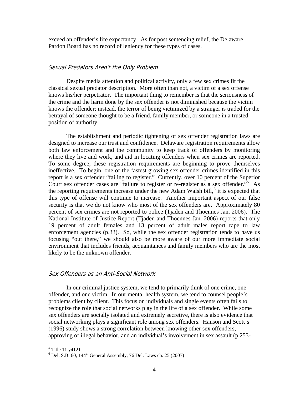<span id="page-11-0"></span>exceed an offender's life expectancy. As for post sentencing relief, the Delaware Pardon Board has no record of leniency for these types of cases.

#### Sexual Predators Aren't the Only Problem

Despite media attention and political activity, only a few sex crimes fit the classical sexual predator description. More often than not, a victim of a sex offense knows his/her perpetrator. The important thing to remember is that the seriousness of the crime and the harm done by the sex offender is not diminished because the victim knows the offender; instead, the terror of being victimized by a stranger is traded for the betrayal of someone thought to be a friend, family member, or someone in a trusted position of authority.

The establishment and periodic tightening of sex offender registration laws are designed to increase our trust and confidence. Delaware registration requirements allow both law enforcement and the community to keep track of offenders by monitoring where they live and work, and aid in locating offenders when sex crimes are reported. To some degree, these registration requirements are beginning to prove themselves ineffective. To begin, one of the fastest growing sex offender crimes identified in this report is a sex offender "failing to register." Currently, over 10 percent of the Superior Court sex offender cases are "failure to register or re-register as a sex offender."<sup>[5](#page-11-1)</sup> As the reporting requirements increase under the new Adam Walsh bill, $<sup>6</sup>$  $<sup>6</sup>$  $<sup>6</sup>$  it is expected that</sup> this type of offense will continue to increase. Another important aspect of our false security is that we do not know who most of the sex offenders are. Approximately 80 percent of sex crimes are not reported to police (Tjaden and Thoennes Jan. 2006). The National Institute of Justice Report (Tjaden and Thoennes Jan. 2006) reports that only 19 percent of adult females and 13 percent of adult males report rape to law enforcement agencies (p.33). So, while the sex offender registration tends to have us focusing "out there," we should also be more aware of our more immediate social environment that includes friends, acquaintances and family members who are the most likely to be the unknown offender.

### Sex Offenders as an Anti-Social Network

In our criminal justice system, we tend to primarily think of one crime, one offender, and one victim. In our mental health system, we tend to counsel people's problems client by client. This focus on individuals and single events often fails to recognize the role that social networks play in the life of a sex offender. While some sex offenders are socially isolated and extremely secretive, there is also evidence that social networking plays a significant role among sex offenders. Hanson and Scott's (1996) study shows a strong correlation between knowing other sex offenders, approving of illegal behavior, and an individual's involvement in sex assault (p.253-

<span id="page-11-1"></span><sup>5</sup> Title 11 §4121

<span id="page-11-2"></span> $6$  Del. S.B. 60, 144<sup>th</sup> General Assembly, 76 Del. Laws ch. 25 (2007)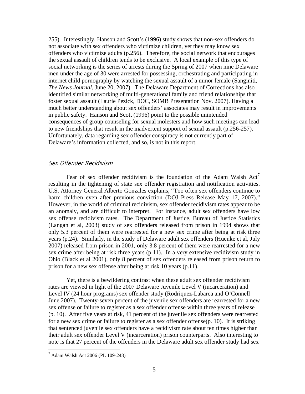<span id="page-12-0"></span>255). Interestingly, Hanson and Scott's (1996) study shows that non-sex offenders do not associate with sex offenders who victimize children, yet they may know sex offenders who victimize adults (p.256). Therefore, the social network that encourages the sexual assault of children tends to be exclusive. A local example of this type of social networking is the series of arrests during the Spring of 2007 when nine Delaware men under the age of 30 were arrested for possessing, orchestrating and participating in internet child pornography by watching the sexual assault of a minor female (Sanginiti, *The News Journal*, June 20, 2007). The Delaware Department of Corrections has also identified similar networking of multi-generational family and friend relationships that foster sexual assault (Laurie Pezick, DOC, SOMB Presentation Nov. 2007). Having a much better understanding about sex offenders' associates may result in improvements in public safety. Hanson and Scott (1996) point to the possible unintended consequences of group counseling for sexual molesters and how such meetings can lead to new friendships that result in the inadvertent support of sexual assault (p.256-257). Unfortunately, data regarding sex offender conspiracy is not currently part of Delaware's information collected, and so, is not in this report.

#### Sex Offender Recidivism

Fear of sex offender recidivism is the foundation of the Adam Walsh  $Act'$ resulting in the tightening of state sex offender registration and notification activities. U.S. Attorney General Alberto Gonzales explains, "Too often sex offenders continue to harm children even after previous conviction (DOJ Press Release May 17, 2007)." However, in the world of criminal recidivism, sex offender recidivism rates appear to be an anomaly, and are difficult to interpret. For instance, adult sex offenders have low sex offense recidivism rates. The Department of Justice, Bureau of Justice Statistics (Langan et al, 2003) study of sex offenders released from prison in 1994 shows that only 5.3 percent of them were rearrested for a new sex crime after being at risk three years (p.24). Similarly, in the study of Delaware adult sex offenders (Huenke et al, July 2007) released from prison in 2001, only 3.8 percent of them were rearrested for a new sex crime after being at risk three years (p.11). In a very extensive recidivism study in Ohio (Black et al 2001), only 8 percent of sex offenders released from prison return to prison for a new sex offense after being at risk 10 years (p.11).

Yet, there is a bewildering contrast when these adult sex offender recidivism rates are viewed in light of the 2007 Delaware Juvenile Level V (incarceration) and Level IV (24 hour programs) sex offender study (Rodriquez-Labarca and O'Connell June 2007). Twenty-seven percent of the juvenile sex offenders are rearrested for a new sex offense or failure to register as a sex offender offense within three years of release (p. 10). After five years at risk, 41 percent of the juvenile sex offenders were rearrested for a new sex crime or failure to register as a sex offender offense(p. 10). It is striking that sentenced juvenile sex offenders have a recidivism rate about ten times higher than their adult sex offender Level V (incarceration) prison counterparts. Also interesting to note is that 27 percent of the offenders in the Delaware adult sex offender study had sex

<sup>7</sup> Adam Walsh Act 2006 (PL 109-248)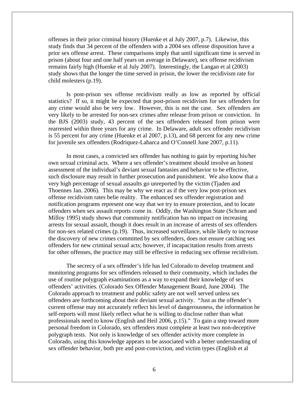offenses in their prior criminal history (Huenke et al July 2007, p.7). Likewise, this study finds that 34 percent of the offenders with a 2004 sex offense disposition have a prior sex offense arrest. These comparisons imply that until significant time is served in prison (about four and one half years on average in Delaware), sex offense recidivism remains fairly high (Huenke et al July 2007). Interestingly, the Langan et al (2003) study shows that the longer the time served in prison, the lower the recidivism rate for child molesters (p.19).

Is post-prison sex offense recidivism really as low as reported by official statistics? If so, it might be expected that post-prison recidivism for sex offenders for any crime would also be very low. However, this is not the case. Sex offenders are very likely to be arrested for non-sex crimes after release from prison or conviction. In the BJS (2003) study, 43 percent of the sex offenders released from prison were rearrested within three years for any crime. In Delaware, adult sex offender recidivism is 55 percent for any crime (Huenke et al 2007, p.13), and 68 percent for any new crime for juvenile sex offenders (Rodriquez-Labarca and O'Connell June 2007, p.11).

 In most cases, a convicted sex offender has nothing to gain by reporting his/her own sexual criminal acts. Where a sex offender's treatment should involve an honest assessment of the individual's deviant sexual fantasies and behavior to be effective, such disclosure may result in further prosecution and punishment. We also know that a very high percentage of sexual assaults go unreported by the victim (Tjaden and Thoennes Jan. 2006). This may be why we react as if the very low post-prison sex offense recidivism rates belie reality. The enhanced sex offender registration and notification programs represent one way that we try to ensure protection, and to locate offenders when sex assault reports come in. Oddly, the Washington State (Schram and Milloy 1995) study shows that community notification has no impact on increasing arrests for sexual assault, though it does result in an increase of arrests of sex offenders for non-sex related crimes (p.19). Thus, increased surveillance, while likely to increase the discovery of new crimes committed by sex offenders, does not ensure catching sex offenders for new criminal sexual acts; however, if incapacitation results from arrests for other offenses, the practice may still be effective in reducing sex offense recidivism.

 The secrecy of a sex offender's life has led Colorado to develop treatment and monitoring programs for sex offenders released to their community, which includes the use of routine polygraph examinations as a way to expand their knowledge of sex offenders' activities. (Colorado Sex Offender Management Board, June 2004). The Colorado approach to treatment and public safety are not well served unless sex offenders are forthcoming about their deviant sexual activity. "Just as the offender's current offense may not accurately reflect his level of dangerousness, the information he self-reports will most likely reflect what he is willing to disclose rather than what professionals need to know (English and Heil 2006, p.15)." To gain a step toward more personal freedom in Colorado, sex offenders must complete at least two non-deceptive polygraph tests. Not only is knowledge of sex offender activity more complete in Colorado, using this knowledge appears to be associated with a better understanding of sex offender behavior, both pre and post-conviction, and victim types (English et al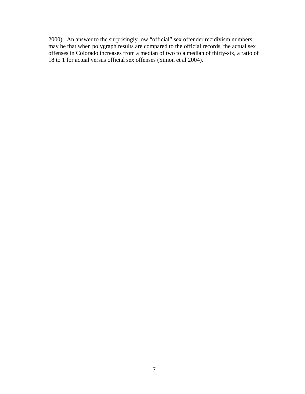2000). An answer to the surprisingly low "official" sex offender recidivism numbers may be that when polygraph results are compared to the official records, the actual sex offenses in Colorado increases from a median of two to a median of thirty-six, a ratio of 18 to 1 for actual versus official sex offenses (Simon et al 2004).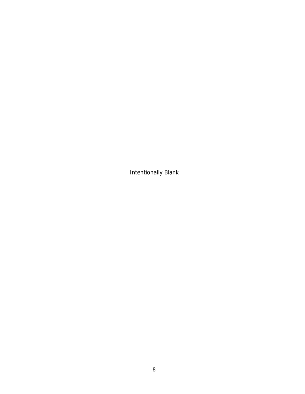Intentionally Blank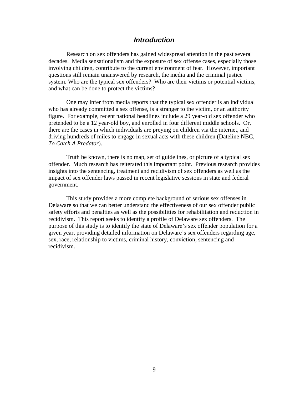## *Introduction*

Research on sex offenders has gained widespread attention in the past several decades. Media sensationalism and the exposure of sex offense cases, especially those involving children, contribute to the current environment of fear. However, important questions still remain unanswered by research, the media and the criminal justice system. Who are the typical sex offenders? Who are their victims or potential victims, and what can be done to protect the victims?

One may infer from media reports that the typical sex offender is an individual who has already committed a sex offense, is a stranger to the victim, or an authority figure. For example, recent national headlines include a 29 year-old sex offender who pretended to be a 12 year-old boy, and enrolled in four different middle schools. Or, there are the cases in which individuals are preying on children via the internet, and driving hundreds of miles to engage in sexual acts with these children (Dateline NBC, *To Catch A Predator*).

Truth be known, there is no map, set of guidelines, or picture of a typical sex offender. Much research has reiterated this important point. Previous research provides insights into the sentencing, treatment and recidivism of sex offenders as well as the impact of sex offender laws passed in recent legislative sessions in state and federal government.

This study provides a more complete background of serious sex offenses in Delaware so that we can better understand the effectiveness of our sex offender public safety efforts and penalties as well as the possibilities for rehabilitation and reduction in recidivism. This report seeks to identify a profile of Delaware sex offenders. The purpose of this study is to identify the state of Delaware's sex offender population for a given year, providing detailed information on Delaware's sex offenders regarding age, sex, race, relationship to victims, criminal history, conviction, sentencing and recidivism.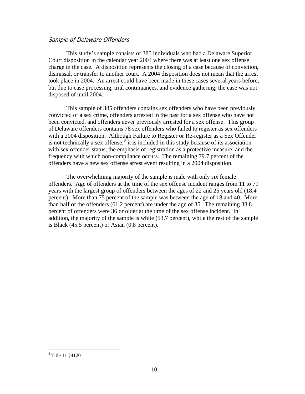#### <span id="page-17-0"></span>Sample of Delaware Offenders

This study's sample consists of 385 individuals who had a Delaware Superior Court disposition in the calendar year 2004 where there was at least one sex offense charge in the case. A disposition represents the closing of a case because of conviction, dismissal, or transfer to another court. A 2004 disposition does not mean that the arrest took place in 2004. An arrest could have been made in these cases several years before, but due to case processing, trial continuances, and evidence gathering, the case was not disposed of until 2004.

This sample of 385 offenders contains sex offenders who have been previously convicted of a sex crime, offenders arrested in the past for a sex offense who have not been convicted, and offenders never previously arrested for a sex offense. This group of Delaware offenders contains 78 sex offenders who failed to register as sex offenders with a 2004 disposition. Although Failure to Register or Re-register as a Sex Offender is not technically a sex offense, $\frac{8}{3}$  $\frac{8}{3}$  $\frac{8}{3}$  it is included in this study because of its association with sex offender status, the emphasis of registration as a protective measure, and the frequency with which non-compliance occurs. The remaining 79.7 percent of the offenders have a new sex offense arrest event resulting in a 2004 disposition.

 The overwhelming majority of the sample is male with only six female offenders. Age of offenders at the time of the sex offense incident ranges from 11 to 79 years with the largest group of offenders between the ages of 22 and 25 years old (18.4 percent). More than 75 percent of the sample was between the age of 18 and 40. More than half of the offenders (61.2 percent) are under the age of 35. The remaining 38.8 percent of offenders were 36 or older at the time of the sex offense incident. In addition, the majority of the sample is white (53.7 percent), while the rest of the sample is Black (45.5 percent) or Asian (0.8 percent).

<sup>8</sup> Title 11 §4120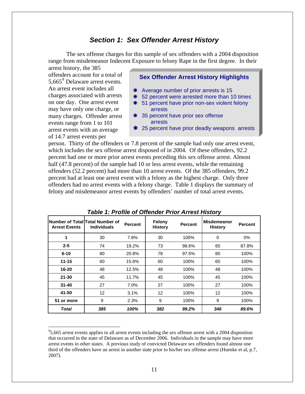# *Section 1: Sex Offender Arrest History*

<span id="page-18-0"></span>The sex offense charges for this sample of sex offenders with a 2004 disposition range from misdemeanor Indecent Exposure to felony Rape in the first degree. In their arrest history, the 385

offenders account for a total of 5,665<sup>[9](#page-18-0)</sup> Delaware arrest events. An arrest event includes all charges associated with arrests on one day. One arrest event may have only one charge, or many charges. Offender arrest events range from 1 to 101 arrest events with an average of 14.7 arrest events per

 $\overline{a}$ 

## **Sex Offender Arrest History Highlights**

- Å Average number of prior arrests is 15
- \* 52 percent were arrested more than 10 times
- Å 51 percent have prior non-sex violent felony arrests
- \* 35 percent have prior sex offense arrests
- **\*** 25 percent have prior deadly weapons arrests

person. Thirty of the offenders or 7.8 percent of the sample had only one arrest event, which includes the sex offense arrest disposed of in 2004. Of these offenders, 92.2 percent had one or more prior arrest events preceding this sex offense arrest. Almost half (47.8 percent) of the sample had 10 or less arrest events, while the remaining offenders (52.2 percent) had more than 10 arrest events. Of the 385 offenders, 99.2 percent had at least one arrest event with a felony as the highest charge. Only three offenders had no arrest events with a felony charge. Table 1 displays the summary of felony and misdemeanor arrest events by offenders' number of total arrest events.

| lNumber of TotallTotal Number of<br><b>Arrest Events</b> | <b>Individuals</b> | <b>Percent</b> | Felony<br><b>History</b> | <b>Percent</b> | <b>Misdemeanor</b><br><b>History</b> | <b>Percent</b> |
|----------------------------------------------------------|--------------------|----------------|--------------------------|----------------|--------------------------------------|----------------|
| 1                                                        | 30                 | 7.8%           | 30                       | 100%           | 0                                    | 0%             |
| $2 - 5$                                                  | 74                 | 19.2%          | 73                       | 98.6%          | 65                                   | 87.8%          |
| $6 - 10$                                                 | 80                 | 20.8%          | 78                       | 97.5%          | 80                                   | 100%           |
| $11 - 15$                                                | 60                 | 15.6%          | 60                       | 100%           | 60                                   | 100%           |
| $16 - 20$                                                | 48                 | 12.5%          | 48                       | 100%           | 48                                   | 100%           |
| $21 - 30$                                                | 45                 | 11.7%          | 45                       | 100%           | 45                                   | 100%           |
| $31 - 40$                                                | 27                 | 7.0%           | 27                       | 100%           | 27                                   | 100%           |
| 41-50                                                    | 12                 | 3.1%           | $12 \overline{ }$        | 100%           | 12                                   | 100%           |
| 51 or more                                               | 9                  | 2.3%           | 9                        | 100%           | 9                                    | 100%           |
| <b>Total</b>                                             | 385                | 100%           | 382                      | 99.2%          | 346                                  | 89.6%          |

*Table 1: Profile of Offender Prior Arrest History* 

 $95,665$  arrest events applies to all arrest events including the sex offense arrest with a 2004 disposition that occurred in the state of Delaware as of December 2006. Individuals in the sample may have more arrest events in other states. A previous study of convicted Delaware sex offenders found almost one third of the offenders have an arrest in another state prior to his/her sex offense arrest (Huenke et al, p.7, 2007).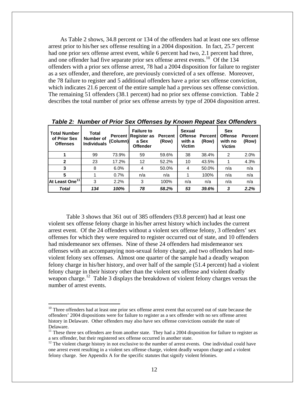<span id="page-19-0"></span>As Table 2 shows, 34.8 percent or 134 of the offenders had at least one sex offense arrest prior to his/her sex offense resulting in a 2004 disposition. In fact, 25.7 percent had one prior sex offense arrest event, while 6 percent had two, 2.1 percent had three, and one offender had five separate prior sex offense arrest events.<sup>[10](#page-19-0)</sup> Of the 134 offenders with a prior sex offense arrest, 78 had a 2004 disposition for failure to register as a sex offender, and therefore, are previously convicted of a sex offense. Moreover, the 78 failure to register and 5 additional offenders have a prior sex offense conviction, which indicates 21.6 percent of the entire sample had a previous sex offense conviction. The remaining 51 offenders (38.1 percent) had no prior sex offense conviction. Table 2 describes the total number of prior sex offense arrests by type of 2004 disposition arrest.

| <b>Total Number</b><br>of Prior Sex<br><b>Offenses</b> | Total<br>Number of<br><b>Individuals</b> | <b>Percent</b>  <br>(Column) | <b>Failure to</b><br><b>Register as</b><br>a Sex<br><b>Offender</b> | Percent<br>(Row) | <b>Sexual</b><br><b>Offense</b><br>with a<br><b>Victim</b> | <b>Percent</b><br>(Row) | <b>Sex</b><br><b>Offense</b><br>with no<br><b>Victim</b> | <b>Percent</b><br>(Row) |
|--------------------------------------------------------|------------------------------------------|------------------------------|---------------------------------------------------------------------|------------------|------------------------------------------------------------|-------------------------|----------------------------------------------------------|-------------------------|
|                                                        | 99                                       | 73.9%                        | 59                                                                  | 59.6%            | 38                                                         | 38.4%                   | 2                                                        | 2.0%                    |
| $\mathbf{2}$                                           | 23                                       | 17.2%                        | 12                                                                  | 52.2%            | 10                                                         | 43.5%                   |                                                          | 4.3%                    |
| 3                                                      | 8                                        | 6.0%                         | 4                                                                   | 50.0%            | 4                                                          | 50.0%                   | n/a                                                      | n/a                     |
| 5                                                      |                                          | 0.7%                         | n/a                                                                 | n/a              |                                                            | 100%                    | n/a                                                      | n/a                     |
| At Least One <sup>11</sup>                             | 3                                        | 2.2%                         | 3                                                                   | 100%             | n/a                                                        | n/a                     | n/a                                                      | n/a                     |
| Total                                                  | 134                                      | 100%                         | 78                                                                  | 58.2%            | 53                                                         | 39.6%                   | 3                                                        | 2.2%                    |

*Table 2: Number of Prior Sex Offenses by Known Repeat Sex Offenders* 

Table 3 shows that 361 out of 385 offenders (93.8 percent) had at least one violent sex offense felony charge in his/her arrest history which includes the current arrest event. Of the 24 offenders without a violent sex offense felony, 3 offenders' sex offenses for which they were required to register occurred out of state, and 10 offenders had misdemeanor sex offenses. Nine of these 24 offenders had misdemeanor sex offenses with an accompanying non-sexual felony charge, and two offenders had nonviolent felony sex offenses. Almost one quarter of the sample had a deadly weapon felony charge in his/her history, and over half of the sample (51.4 percent) had a violent felony charge in their history other than the violent sex offense and violent deadly weapon charge.<sup>[12](#page-19-0)</sup> Table 3 displays the breakdown of violent felony charges versus the number of arrest events.

<sup>&</sup>lt;sup>10</sup> Three offenders had at least one prior sex offense arrest event that occurred out of state because the offenders' 2004 dispositions were for failure to register as a sex offender with no sex offense arrest history in Delaware. Other offenders may also have sex offense convictions outside the state of Delaware.

 $11$  These three sex offenders are from another state. They had a 2004 disposition for failure to register as a sex offender, but their registered sex offense occurred in another state.

 $12$  The violent charge history in not exclusive to the number of arrest events. One individual could have one arrest event resulting in a violent sex offense charge, violent deadly weapon charge and a violent felony charge. See Appendix A for the specific statutes that signify violent felonies.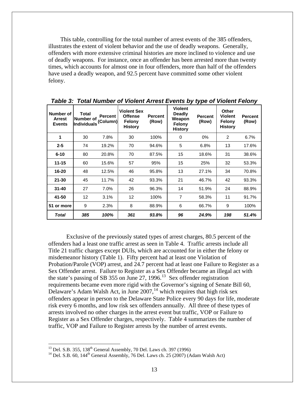<span id="page-20-0"></span>This table, controlling for the total number of arrest events of the 385 offenders, illustrates the extent of violent behavior and the use of deadly weapons. Generally, offenders with more extensive criminal histories are more inclined to violence and use of deadly weapons. For instance, once an offender has been arrested more than twenty times, which accounts for almost one in four offenders, more than half of the offenders have used a deadly weapon, and 92.5 percent have committed some other violent felony.

| Number of<br><b>Arrest</b><br><b>Events</b> | <b>Total</b><br>Number of<br>Individuals (Column) | <b>Percent</b> | <b>Violent Sex</b><br><b>Offense</b><br>Felony<br><b>History</b> | <b>Percent</b><br>(Row) | <b>Violent</b><br>Deadly<br>Weapon<br>Felony<br><b>History</b> | <b>Percent</b><br>(Row) | Other<br><b>Violent</b><br>Felony<br><b>History</b> | <b>Percent</b><br>(Row) |
|---------------------------------------------|---------------------------------------------------|----------------|------------------------------------------------------------------|-------------------------|----------------------------------------------------------------|-------------------------|-----------------------------------------------------|-------------------------|
| 1                                           | 30                                                | 7.8%           | 30                                                               | 100%                    | 0                                                              | 0%                      | 2                                                   | 6.7%                    |
| $2 - 5$                                     | 74                                                | 19.2%          | 70                                                               | 94.6%                   | 5                                                              | 6.8%                    | 13                                                  | 17.6%                   |
| $6 - 10$                                    | 80                                                | 20.8%          | 70                                                               | 87.5%                   | 15                                                             | 18.6%                   | 31                                                  | 38.6%                   |
| $11 - 15$                                   | 60                                                | 15.6%          | 57                                                               | 95%                     | 15                                                             | 25%                     | 32                                                  | 53.3%                   |
| $16 - 20$                                   | 48                                                | 12.5%          | 46                                                               | 95.8%                   | 13                                                             | 27.1%                   | 34                                                  | 70.8%                   |
| $21 - 30$                                   | 45                                                | 11.7%          | 42                                                               | 93.3%                   | 21                                                             | 46.7%                   | 42                                                  | 93.3%                   |
| $31 - 40$                                   | 27                                                | 7.0%           | 26                                                               | 96.3%                   | 14                                                             | 51.9%                   | 24                                                  | 88.9%                   |
| 41-50                                       | 12                                                | 3.1%           | 12                                                               | 100%                    | 7                                                              | 58.3%                   | 11                                                  | 91.7%                   |
| 51 or more                                  | 9                                                 | 2.3%           | 8                                                                | 88.9%                   | 6                                                              | 66.7%                   | 9                                                   | 100%                    |
| <b>Total</b>                                | 385                                               | 100%           | 361                                                              | 93.8%                   | 96                                                             | 24.9%                   | 198                                                 | 51.4%                   |

Exclusive of the previously stated types of arrest charges, 80.5 percent of the offenders had a least one traffic arrest as seen in Table 4. Traffic arrests include all Title 21 traffic charges except DUIs, which are accounted for in either the felony or misdemeanor history (Table 1). Fifty percent had at least one Violation of Probation/Parole (VOP) arrest, and 24.7 percent had at least one Failure to Register as a Sex Offender arrest. Failure to Register as a Sex Offender became an illegal act with the state's passing of SB 355 on June 27, 1996.<sup>[13](#page-20-0)</sup> Sex offender registration requirements became even more rigid with the Governor's signing of Senate Bill 60, Delaware's Adam Walsh Act, in June  $2007$ ,<sup>[14](#page-20-0)</sup> which requires that high risk sex offenders appear in person to the Delaware State Police every 90 days for life, moderate risk every 6 months, and low risk sex offenders annually. All three of these types of arrests involved no other charges in the arrest event but traffic, VOP or Failure to Register as a Sex Offender charges, respectively. Table 4 summarizes the number of traffic, VOP and Failure to Register arrests by the number of arrest events.

<sup>&</sup>lt;sup>13</sup> Del. S.B. 355, 138<sup>th</sup> General Assembly, 70 Del. Laws ch. 397 (1996)

<sup>&</sup>lt;sup>14</sup> Del. S.B. 60, 144<sup>th</sup> General Assembly, 76 Del. Laws ch. 25 (2007) (Adam Walsh Act)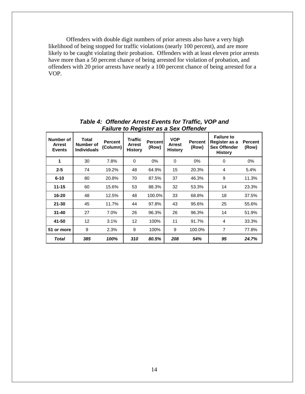<span id="page-21-0"></span>Offenders with double digit numbers of prior arrests also have a very high likelihood of being stopped for traffic violations (nearly 100 percent), and are more likely to be caught violating their probation. Offenders with at least eleven prior arrests have more than a 50 percent chance of being arrested for violation of probation, and offenders with 20 prior arrests have nearly a 100 percent chance of being arrested for a VOP.

| Number of<br><b>Arrest</b><br><b>Events</b> | Total<br>Number of<br><b>Individuals</b> | <b>Percent</b><br>(Column) | <b>Traffic</b><br><b>Arrest</b><br><b>History</b> | <b>Percent</b><br>(Row) | <b>VOP</b><br><b>Arrest</b><br><b>History</b> | <b>Percent</b><br>(Row) | <b>Failure to</b><br>Register as a<br><b>Sex Offender</b><br><b>History</b> | <b>Percent</b><br>(Row) |
|---------------------------------------------|------------------------------------------|----------------------------|---------------------------------------------------|-------------------------|-----------------------------------------------|-------------------------|-----------------------------------------------------------------------------|-------------------------|
| 1                                           | 30                                       | 7.8%                       | 0                                                 | 0%                      | 0                                             | $0\%$                   | $\mathbf 0$                                                                 | $0\%$                   |
| $2 - 5$                                     | 74                                       | 19.2%                      | 48                                                | 64.9%                   | 15                                            | 20.3%                   | 4                                                                           | 5.4%                    |
| $6 - 10$                                    | 80                                       | 20.8%                      | 70                                                | 87.5%                   | 37                                            | 46.3%                   | 9                                                                           | 11.3%                   |
| $11 - 15$                                   | 60                                       | 15.6%                      | 53                                                | 88.3%                   | 32                                            | 53.3%                   | 14                                                                          | 23.3%                   |
| 16-20                                       | 48                                       | 12.5%                      | 48                                                | 100.0%                  | 33                                            | 68.8%                   | 18                                                                          | 37.5%                   |
| $21 - 30$                                   | 45                                       | 11.7%                      | 44                                                | 97.8%                   | 43                                            | 95.6%                   | 25                                                                          | 55.6%                   |
| $31 - 40$                                   | 27                                       | 7.0%                       | 26                                                | 96.3%                   | 26                                            | 96.3%                   | 14                                                                          | 51.9%                   |
| 41-50                                       | 12                                       | 3.1%                       | 12                                                | 100%                    | 11                                            | 91.7%                   | 4                                                                           | 33.3%                   |
| 51 or more                                  | 9                                        | 2.3%                       | 9                                                 | 100%                    | 9                                             | 100.0%                  | 7                                                                           | 77.8%                   |
| <b>Total</b>                                | 385                                      | 100%                       | 310                                               | 80.5%                   | 208                                           | 54%                     | 95                                                                          | 24.7%                   |

*Table 4: Offender Arrest Events for Traffic, VOP and Failure to Register as a Sex Offender*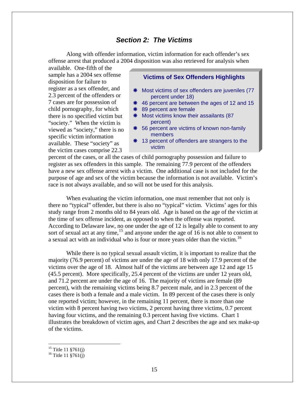# *Section 2: The Victims*

<span id="page-22-0"></span>Along with offender information, victim information for each offender's sex offense arrest that produced a 2004 disposition was also retrieved for analysis when

available. One-fifth of the sample has a 2004 sex offense disposition for failure to register as a sex offender, and 2.3 percent of the offenders or 7 cases are for possession of child pornography, for which there is no specified victim but "society." When the victim is viewed as "society," there is no specific victim information available. These "society" as the victim cases comprise 22.3



percent of the cases, or all the cases of child pornography possession and failure to register as sex offenders in this sample. The remaining 77.9 percent of the offenders have a new sex offense arrest with a victim. One additional case is not included for the purpose of age and sex of the victim because the information is not available. Victim's race is not always available, and so will not be used for this analysis.

When evaluating the victim information, one must remember that not only is there no "typical" offender, but there is also no "typical" victim. Victims' ages for this study range from 2 months old to 84 years old. Age is based on the age of the victim at the time of sex offense incident, as opposed to when the offense was reported. According to Delaware law, no one under the age of 12 is legally able to consent to any sort of sexual act at any time,  $15$  and anyone under the age of 16 is not able to consent to a sexual act with an individual who is four or more years older than the victim.<sup>[16](#page-22-0)</sup>

While there is no typical sexual assault victim, it is important to realize that the majority (76.9 percent) of victims are under the age of 18 with only 17.9 percent of the victims over the age of 18. Almost half of the victims are between age 12 and age 15 (45.5 percent). More specifically, 25.4 percent of the victims are under 12 years old, and 71.2 percent are under the age of 16. The majority of victims are female (89 percent), with the remaining victims being 8.7 percent male, and in 2.3 percent of the cases there is both a female and a male victim. In 89 percent of the cases there is only one reported victim; however, in the remaining 11 percent, there is more than one victim with 8 percent having two victims, 2 percent having three victims, 0.7 percent having four victims, and the remaining 0.3 percent having five victims. Chart 1 illustrates the breakdown of victim ages, and Chart 2 describes the age and sex make-up of the victims.

<sup>&</sup>lt;sup>15</sup> Title 11  $$761(j)$ 

<sup>&</sup>lt;sup>16</sup> Title 11 §761(j)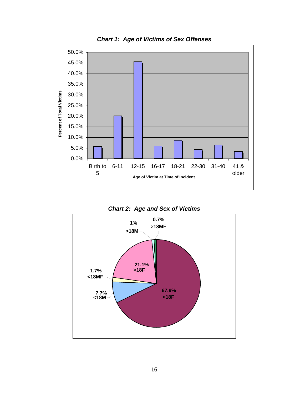<span id="page-23-0"></span>

*Chart 1: Age of Victims of Sex Offenses* 



*Chart 2: Age and Sex of Victims*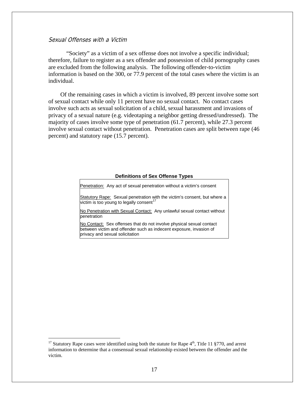#### <span id="page-24-0"></span>Sexual Offenses with a Victim

 $\overline{a}$ 

"Society" as a victim of a sex offense does not involve a specific individual; therefore, failure to register as a sex offender and possession of child pornography cases are excluded from the following analysis. The following offender-to-victim information is based on the 300, or 77.9 percent of the total cases where the victim is an individual.

Of the remaining cases in which a victim is involved, 89 percent involve some sort of sexual contact while only 11 percent have no sexual contact. No contact cases involve such acts as sexual solicitation of a child, sexual harassment and invasions of privacy of a sexual nature (e.g. videotaping a neighbor getting dressed/undressed). The majority of cases involve some type of penetration (61.7 percent), while 27.3 percent involve sexual contact without penetration. Penetration cases are split between rape (46 percent) and statutory rape (15.7 percent).

#### **Definitions of Sex Offense Types**

Penetration: Any act of sexual penetration without a victim's consent

Statutory Rape: Sexual penetration with the victim's consent, but where a victim is too young to legally consent<sup>[17](#page-24-0)</sup>

No Penetration with Sexual Contact: Any unlawful sexual contact without penetration

No Contact: Sex offenses that do not involve physical sexual contact between victim and offender such as indecent exposure, invasion of privacy and sexual solicitation

<sup>&</sup>lt;sup>17</sup> Statutory Rape cases were identified using both the statute for Rape  $4<sup>th</sup>$ , Title 11 §770, and arrest information to determine that a consensual sexual relationship existed between the offender and the victim.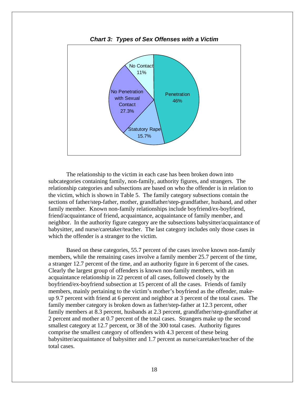<span id="page-25-0"></span>

*Chart 3: Types of Sex Offenses with a Victim*

The relationship to the victim in each case has been broken down into subcategories containing family, non-family, authority figures, and strangers. The relationship categories and subsections are based on who the offender is in relation to the victim, which is shown in Table 5. The family category subsections contain the sections of father/step-father, mother, grandfather/step-grandfather, husband, and other family member. Known non-family relationships include boyfriend/ex-boyfriend, friend/acquaintance of friend, acquaintance, acquaintance of family member, and neighbor. In the authority figure category are the subsections babysitter/acquaintance of babysitter, and nurse/caretaker/teacher. The last category includes only those cases in which the offender is a stranger to the victim.

Based on these categories, 55.7 percent of the cases involve known non-family members, while the remaining cases involve a family member 25.7 percent of the time, a stranger 12.7 percent of the time, and an authority figure in 6 percent of the cases. Clearly the largest group of offenders is known non-family members, with an acquaintance relationship in 22 percent of all cases, followed closely by the boyfriend/ex-boyfriend subsection at 15 percent of all the cases. Friends of family members, mainly pertaining to the victim's mother's boyfriend as the offender, makeup 9.7 percent with friend at 6 percent and neighbor at 3 percent of the total cases. The family member category is broken down as father/step-father at 12.3 percent, other family members at 8.3 percent, husbands at 2.3 percent, grandfather/step-grandfather at 2 percent and mother at 0.7 percent of the total cases. Strangers make up the second smallest category at 12.7 percent, or 38 of the 300 total cases. Authority figures comprise the smallest category of offenders with 4.3 percent of these being babysitter/acquaintance of babysitter and 1.7 percent as nurse/caretaker/teacher of the total cases.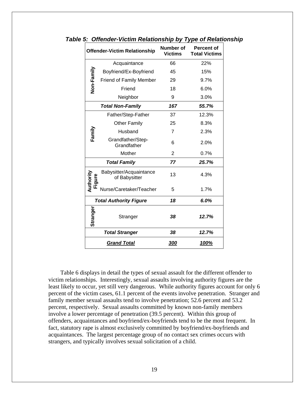|                 | <b>Offender-Victim Relationship</b>      | Number of<br><b>Victims</b> | <b>Percent of</b><br><b>Total Victims</b> |
|-----------------|------------------------------------------|-----------------------------|-------------------------------------------|
|                 | Acquaintance                             | 66                          | 22%                                       |
|                 | Boyfriend/Ex-Boyfriend                   | 45                          | 15%                                       |
|                 | <b>Friend of Family Member</b>           | 29                          | 9.7%                                      |
| Non-Family      | Friend                                   | 18                          | 6.0%                                      |
|                 | Neighbor                                 | 9                           | 3.0%                                      |
|                 | <b>Total Non-Family</b>                  | 167                         | 55.7%                                     |
|                 | Father/Step-Father                       | 37                          | 12.3%                                     |
|                 | <b>Other Family</b>                      | 25                          | 8.3%                                      |
| Family          | Husband                                  | $\overline{7}$              | 2.3%                                      |
|                 | Grandfather/Step-<br>Grandfather         | 6                           | 2.0%                                      |
|                 | Mother                                   | 2                           | 0.7%                                      |
|                 | <b>Total Family</b>                      | 77                          | 25.7%                                     |
| hority<br>igure | Babysitter/Acquaintance<br>of Babysitter | 13                          | 4.3%                                      |
|                 | Nurse/Caretaker/Teacher                  | 5                           | 1.7%                                      |
|                 | <b>Total Authority Figure</b>            | 18                          | 6.0%                                      |
| Stranger        | Stranger                                 | 38                          | 12.7%                                     |
|                 | <b>Total Stranger</b>                    | 38                          | 12.7%                                     |
|                 | <u>Grand Total</u>                       | <u>300</u>                  | <u>100%</u>                               |

<span id="page-26-0"></span>*Table 5: Offender-Victim Relationship by Type of Relationship* 

Table 6 displays in detail the types of sexual assault for the different offender to victim relationships. Interestingly, sexual assaults involving authority figures are the least likely to occur, yet still very dangerous. While authority figures account for only 6 percent of the victim cases, 61.1 percent of the events involve penetration. Stranger and family member sexual assaults tend to involve penetration; 52.6 percent and 53.2 percent, respectively. Sexual assaults committed by known non-family members involve a lower percentage of penetration (39.5 percent). Within this group of offenders, acquaintances and boyfriend/ex-boyfriends tend to be the most frequent. In fact, statutory rape is almost exclusively committed by boyfriend/ex-boyfriends and acquaintances. The largest percentage group of no contact sex crimes occurs with strangers, and typically involves sexual solicitation of a child.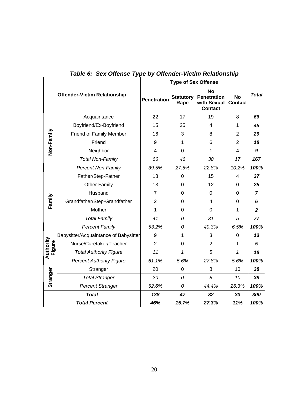<span id="page-27-0"></span>

|                     |                                       | <b>Type of Sex Offense</b> |                          |                                                                  |                             |                |  |
|---------------------|---------------------------------------|----------------------------|--------------------------|------------------------------------------------------------------|-----------------------------|----------------|--|
|                     | <b>Offender-Victim Relationship</b>   | <b>Penetration</b>         | <b>Statutory</b><br>Rape | <b>No</b><br><b>Penetration</b><br>with Sexual<br><b>Contact</b> | <b>No</b><br><b>Contact</b> | <b>Total</b>   |  |
|                     | Acquaintance                          | 22                         | 17                       | 19                                                               | 8                           | 66             |  |
|                     | Boyfriend/Ex-Boyfriend                | 15                         | 25                       | 4                                                                | 1                           | 45             |  |
|                     | Friend of Family Member               | 16                         | 3                        | 8                                                                | $\overline{2}$              | 29             |  |
|                     | Friend                                | 9                          | 1                        | 6                                                                | $\overline{2}$              | 18             |  |
| Non-Family          | Neighbor                              | 4                          | 0                        | 1                                                                | 4                           | 9              |  |
|                     | <b>Total Non-Family</b>               | 66                         | 46                       | 38                                                               | 17                          | 167            |  |
|                     | <b>Percent Non-Family</b>             | 39.5%                      | 27.5%                    | 22.8%                                                            | 10.2%                       | 100%           |  |
|                     | Father/Step-Father                    | 18                         | 0                        | 15                                                               | 4                           | 37             |  |
|                     | <b>Other Family</b>                   | 13                         | 0                        | 12                                                               | 0                           | 25             |  |
| Family              | Husband                               | $\overline{7}$             | 0                        | 0                                                                | 0                           | $\overline{z}$ |  |
|                     | Grandfather/Step-Grandfather          | 2                          | 0                        | 4                                                                | 0                           | 6              |  |
|                     | Mother                                | 1                          | 0                        | 0                                                                | 1                           | $\mathbf{2}$   |  |
|                     | <b>Total Family</b>                   | 41                         | $\Omega$                 | 31                                                               | 5                           | 77             |  |
|                     | <b>Percent Family</b>                 | 53.2%                      | 0                        | 40.3%                                                            | 6.5%                        | 100%           |  |
|                     | Babysitter/Acquaintance of Babysitter | 9                          | $\mathbf{1}$             | 3                                                                | $\overline{0}$              | 13             |  |
| Authority<br>Figure | Nurse/Caretaker/Teacher               | $\overline{2}$             | 0                        | $\overline{2}$                                                   | 1                           | 5              |  |
|                     | <b>Total Authority Figure</b>         | 11                         | 1                        | 5                                                                | 1                           | 18             |  |
|                     | <b>Percent Authority Figure</b>       | 61.1%                      | 5.6%                     | 27.8%                                                            | 5.6%                        | 100%           |  |
|                     | Stranger                              | 20                         | $\overline{0}$           | 8                                                                | 10                          | 38             |  |
| Stranger            | <b>Total Stranger</b>                 | 20                         | 0                        | 8                                                                | 10                          | 38             |  |
|                     | <b>Percent Stranger</b>               | 52.6%                      | 0                        | 44.4%                                                            | 26.3%                       | 100%           |  |
|                     | <b>Total</b>                          | 138                        | 47                       | 82                                                               | 33                          | 300            |  |
|                     | <b>Total Percent</b>                  | 46%                        | 15.7%                    | 27.3%                                                            | 11%                         | 100%           |  |

# *Table 6: Sex Offense Type by Offender-Victim Relationship*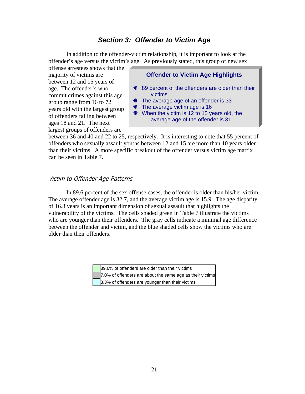# *Section 3: Offender to Victim Age*

<span id="page-28-0"></span>In addition to the offender-victim relationship, it is important to look at the offender's age versus the victim's age. As previously stated, this group of new sex

offense arrestees shows that the majority of victims are between 12 and 15 years of age. The offender's who commit crimes against this age group range from 16 to 72 years old with the largest group of offenders falling between ages 18 and 21. The next largest groups of offenders are

### **Offender to Victim Age Highlights**

- \* 89 percent of the offenders are older than their victims
- Å The average age of an offender is 33
- $*$  The average victim age is 16
- $*$  When the victim is 12 to 15 years old, the average age of the offender is 31

between 36 and 40 and 22 to 25, respectively. It is interesting to note that 55 percent of offenders who sexually assault youths between 12 and 15 are more than 10 years older than their victims. A more specific breakout of the offender versus victim age matrix can be seen in Table 7.

#### Victim to Offender Age Patterns

In 89.6 percent of the sex offense cases, the offender is older than his/her victim. The average offender age is 32.7, and the average victim age is 15.9. The age disparity of 16.8 years is an important dimension of sexual assault that highlights the vulnerability of the victims. The cells shaded green in Table 7 illustrate the victims who are younger than their offenders. The gray cells indicate a minimal age difference between the offender and victim, and the blue shaded cells show the victims who are older than their offenders.

| 89.6% of offenders are older than their victims           |
|-----------------------------------------------------------|
| 7.0% of offenders are about the same age as their victims |
| 3.3% of offenders are younger than their victims          |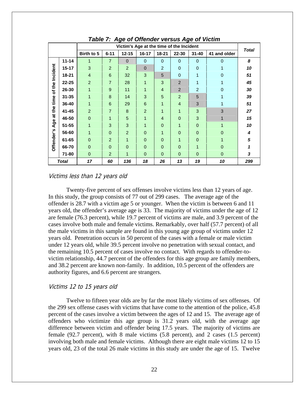<span id="page-29-0"></span>

|                 |              |                  |                | ◡<br>Victim's Age at the time of the Incident |                |                | ۰э             |                |                | <b>Total</b> |
|-----------------|--------------|------------------|----------------|-----------------------------------------------|----------------|----------------|----------------|----------------|----------------|--------------|
|                 |              | Birth to 5       | $6 - 11$       | $12 - 15$                                     | $16 - 17$      | 18-21          | 22-30          | $31 - 40$      | 41 and older   |              |
|                 | $11 - 14$    | $\overline{1}$   | $\overline{7}$ | $\Omega$                                      | $\mathbf{0}$   | $\mathbf{0}$   | $\overline{0}$ | $\Omega$       | $\mathbf{0}$   | 8            |
|                 | $15 - 17$    | 3                | $\overline{2}$ | 2                                             | $\overline{0}$ | $\overline{2}$ | $\overline{0}$ | $\Omega$       | 1              | 10           |
| of the Incident | $18 - 21$    | $\overline{4}$   | 6              | 32                                            | 3              | 5              | $\overline{0}$ |                | $\Omega$       | 51           |
|                 | $22 - 25$    | 2                | 7              | 28                                            | 1              | 3              | $\overline{2}$ |                | 1              | 45           |
|                 | 26-30        | $\mathbf{1}$     | $\overline{9}$ | 11                                            | 1              | $\overline{4}$ | $\overline{2}$ | $\overline{2}$ | $\Omega$       | 30           |
|                 | $31 - 35$    | 1                | 8              | 14                                            | 3              | 5              | $\overline{2}$ | 5              | 1              | 39           |
|                 | 36-40        | 1                | 6              | 29                                            | 6              | 1              | $\overline{4}$ | 3              | 1              | 51           |
|                 | $41 - 45$    | 2                | $\overline{7}$ | 8                                             | $\overline{2}$ | 1              | 1              | 3              | 3              | 27           |
| Age at the time | 46-50        | $\overline{0}$   | 1              | 5                                             | 1              | $\overline{4}$ | $\overline{0}$ | 3              | 1              | 15           |
|                 | $51 - 55$    | 1                | 3              | 3                                             | 1              | $\overline{0}$ | 1              | $\Omega$       | 1              | 10           |
|                 | 56-60        | 1                | $\mathbf 0$    | $\overline{2}$                                | $\overline{0}$ | 1              | $\overline{0}$ | $\Omega$       | $\overline{0}$ | 4            |
|                 | 61-65        | $\boldsymbol{0}$ | $\overline{2}$ | 1                                             | $\mathbf 0$    | $\mathbf 0$    | 1              | $\Omega$       | 1              | 5            |
| Offender's      | 66-70        | $\overline{0}$   | $\overline{0}$ | $\overline{0}$                                | $\overline{0}$ | $\overline{0}$ | $\overline{0}$ |                | $\Omega$       |              |
|                 | 71-80        | $\overline{0}$   | $\overline{2}$ | 1                                             | $\overline{0}$ | $\overline{0}$ | $\overline{0}$ | $\Omega$       | $\mathbf{0}$   | 3            |
|                 | <b>Total</b> | 17               | 60             | 136                                           | 18             | 26             | 13             | 19             | 10             | 299          |

## *Table 7: Age of Offender versus Age of Victim*

#### Victims less than 12 years old

Twenty-five percent of sex offenses involve victims less than 12 years of age. In this study, the group consists of 77 out of 299 cases. The average age of the offender is 28.7 with a victim age 5 or younger. When the victim is between 6 and 11 years old, the offender's average age is 33. The majority of victims under the age of 12 are female (76.3 percent), while 19.7 percent of victims are male, and 3.9 percent of the cases involve both male and female victims. Remarkably, over half (57.7 percent) of all the male victims in this sample are found in this young age group of victims under 12 years old. Penetration occurs in 50 percent of the cases with a female or male victim under 12 years old, while 39.5 percent involve no penetration with sexual contact, and the remaining 10.5 percent of cases involve no contact. With regards to offender-tovictim relationship, 44.7 percent of the offenders for this age group are family members, and 38.2 percent are known non-family. In addition, 10.5 percent of the offenders are authority figures, and 6.6 percent are strangers.

#### Victims 12 to 15 years old

 Twelve to fifteen year olds are by far the most likely victims of sex offenses. Of the 299 sex offense cases with victims that have come to the attention of the police, 45.8 percent of the cases involve a victim between the ages of 12 and 15. The average age of offenders who victimize this age group is 31.2 years old, with the average age difference between victim and offender being 17.5 years. The majority of victims are female (92.7 percent), with 8 male victims (5.8 percent), and 2 cases (1.5 percent) involving both male and female victims. Although there are eight male victims 12 to 15 years old, 23 of the total 26 male victims in this study are under the age of 15. Twelve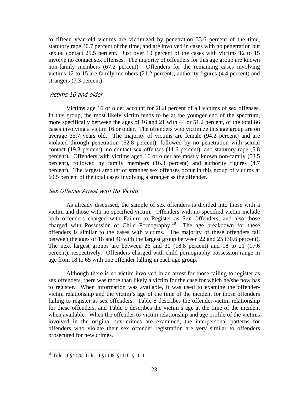<span id="page-30-0"></span>to fifteen year old victims are victimized by penetration 33.6 percent of the time, statutory rape 30.7 percent of the time, and are involved in cases with no penetration but sexual contact 25.5 percent. Just over 10 percent of the cases with victims 12 to 15 involve no contact sex offenses. The majority of offenders for this age group are known non-family members (67.2 percent). Offenders for the remaining cases involving victims 12 to 15 are family members (21.2 percent), authority figures (4.4 percent) and strangers (7.3 percent).

#### Victims 16 and older

 Victims age 16 or older account for 28.8 percent of all victims of sex offenses. In this group, the most likely victim tends to be at the younger end of the spectrum, more specifically between the ages of 16 and 21 with 44 or 51.2 percent, of the total 86 cases involving a victim 16 or older. The offenders who victimize this age group are on average 35.7 years old. The majority of victims are female (94.2 percent) and are violated through penetration (62.8 percent), followed by no penetration with sexual contact (19.8 percent), no contact sex offenses (11.6 percent), and statutory rape (5.8 percent). Offenders with victims aged 16 or older are mostly known non-family (53.5 percent), followed by family members (16.3 percent) and authority figures (4.7 percent). The largest amount of stranger sex offenses occur in this group of victims at 60.5 percent of the total cases involving a stranger as the offender.

#### Sex Offense Arrest with No Victim

As already discussed, the sample of sex offenders is divided into those with a victim and those with no specified victim. Offenders with no specified victim include both offenders charged with Failure to Register as Sex Offenders, and also those charged with Possession of Child Pornography.<sup>[18](#page-30-0)</sup> The age breakdown for these offenders is similar to the cases with victims. The majority of these offenders fall between the ages of 18 and 40 with the largest group between 22 and 25 (30.6 percent). The next largest groups are between 26 and 30 (18.8 percent) and 18 to 21 (17.6 percent), respectively. Offenders charged with child pornography possession range in age from 18 to 65 with one offender falling in each age group.

Although there is no victim involved in an arrest for those failing to register as sex offenders, there was more than likely a victim for the case for which he/she now has to register. When information was available, it was used to examine the offendervictim relationship and the victim's age of the time of the incident for those offenders failing to register as sex offenders. Table 8 describes the offender-victim relationship for these offenders, and Table 9 describes the victim's age at the time of the incident when available. When the offender-to-victim relationship and age profile of the victims involved in the original sex crimes are examined, the interpersonal patterns for offenders who violate their sex offender registration are very similar to offenders prosecuted for new crimes.

<sup>18</sup> Title 11 §4120; Title 11 §1109, §1110, §1111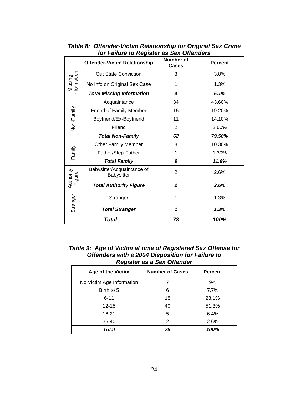|                        | <b>Offender-Victim Relationship</b>             | <b>Number of</b><br><b>Cases</b> | <b>Percent</b> |
|------------------------|-------------------------------------------------|----------------------------------|----------------|
|                        | <b>Out State Conviction</b>                     | 3                                | 3.8%           |
| Missing<br>Information | No Info on Original Sex Case                    | 1                                | 1.3%           |
|                        | <b>Total Missing Information</b>                | 4                                | 5.1%           |
|                        | Acquaintance                                    | 34                               | 43.60%         |
|                        | <b>Friend of Family Member</b>                  | 15                               | 19.20%         |
| Non-Family             | Boyfriend/Ex-Boyfriend                          | 11                               | 14.10%         |
|                        | Friend                                          | $\overline{2}$                   | 2.60%          |
|                        | <b>Total Non-Family</b>                         | 62                               | 79.50%         |
|                        | <b>Other Family Member</b>                      | 8                                | 10.30%         |
| Family                 | Father/Step-Father                              | 1                                | 1.30%          |
|                        | <b>Total Family</b>                             | 9                                | 11.6%          |
| Authority<br>Figure    | Babysitter/Acquaintance of<br><b>Babysitter</b> | $\overline{2}$                   | 2.6%           |
|                        | <b>Total Authority Figure</b>                   | $\mathbf{2}$                     | 2.6%           |
| Stranger               | Stranger                                        | 1                                | 1.3%           |
|                        | <b>Total Stranger</b>                           | 1                                | 1.3%           |
|                        | Total                                           | 78                               | 100%           |

## <span id="page-31-0"></span>*Table 8: Offender-Victim Relationship for Original Sex Crime for Failure to Register as Sex Offenders*

## *Table 9: Age of Victim at time of Registered Sex Offense for Offenders with a 2004 Disposition for Failure to Register as a Sex Offender*

| <b>Age of the Victim</b>  | <b>Number of Cases</b> | <b>Percent</b> |
|---------------------------|------------------------|----------------|
| No Victim Age Information | 7                      | 9%             |
| Birth to 5                | 6                      | 7.7%           |
| $6 - 11$                  | 18                     | 23.1%          |
| $12 - 15$                 | 40                     | 51.3%          |
| 16-21                     | 5                      | 6.4%           |
| 36-40                     | 2                      | 2.6%           |
| Total                     | 78                     | 100%           |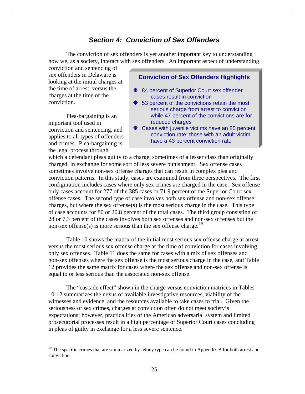# *Section 4: Conviction of Sex Offenders*

<span id="page-32-0"></span> The conviction of sex offenders is yet another important key to understanding how we, as a society, interact with sex offenders. An important aspect of understanding

conviction and sentencing of sex offenders in Delaware is looking at the initial charges at the time of arrest, versus the charges at the time of the conviction.

Plea-bargaining is an important tool used in conviction and sentencing, and applies to all types of offenders and crimes. Plea-bargaining is the legal process through

 $\overline{a}$ 

## **Conviction of Sex Offenders Highlights**

- $*$  84 percent of Superior Court sex offender cases result in conviction
- Å 53 percent of the convictions retain the most serious charge from arrest to conviction while 47 percent of the convictions are for reduced charges
- Å Cases with juvenile victims have an 85 percent conviction rate; those with an adult victim have a 43 percent conviction rate

which a defendant pleas guilty to a charge, sometimes of a lesser class than originally charged, in exchange for some sort of less severe punishment. Sex offense cases sometimes involve non-sex offense charges that can result in complex plea and conviction patterns. In this study, cases are examined from three perspectives. The first configuration includes cases where only sex crimes are charged in the case. Sex offense only cases account for 277 of the 385 cases or 71.9 percent of the Superior Court sex offense cases. The second type of case involves both sex offense and non-sex offense charges, but where the sex offense(s) is the most serious charge in the case. This type of case accounts for 80 or 20.8 percent of the total cases. The third group consisting of 28 or 7.3 percent of the cases involves both sex offenses and non-sex offenses but the non-sex offense(s) is more serious than the sex offense charge.<sup>[19](#page-32-0)</sup>

Table 10 shows the matrix of the initial most serious sex offense charge at arrest versus the most serious sex offense charge at the time of conviction for cases involving only sex offenses. Table 11 does the same for cases with a mix of sex offenses and non-sex offenses where the sex offense is the most serious charge in the case, and Table 12 provides the same matrix for cases where the sex offense and non-sex offense is equal to or less serious than the associated non-sex offense.

The "cascade effect" shown in the charge versus conviction matrices in Tables 10-12 summarizes the nexus of available investigative resources, viability of the witnesses and evidence, and the resources available to take cases to trial. Given the seriousness of sex crimes, charges at conviction often do not meet society's expectations; however, practicalities of the American adversarial system and limited prosecutorial processes result in a high percentage of Superior Court cases concluding in pleas of guilty in exchange for a less severe sentence.

<sup>&</sup>lt;sup>19</sup> The specific crimes that are summarized by felony type can be found in Appendix B for both arrest and conviction.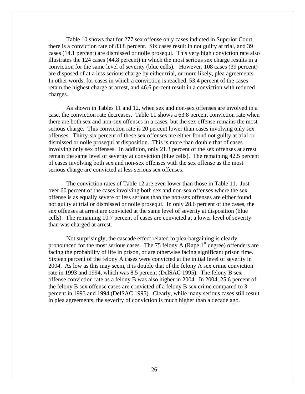Table 10 shows that for 277 sex offense only cases indicted in Superior Court, there is a conviction rate of 83.8 percent. Six cases result in not guilty at trial, and 39 cases (14.1 percent) are dismissed or nolle prosequi. This very high conviction rate also illustrates the 124 cases (44.8 percent) in which the most serious sex charge results in a conviction for the same level of severity (blue cells). However, 108 cases (39 percent) are disposed of at a less serious charge by either trial, or more likely, plea agreements. In other words, for cases in which a conviction is reached, 53.4 percent of the cases retain the highest charge at arrest, and 46.6 percent result in a conviction with reduced charges.

As shown in Tables 11 and 12, when sex and non-sex offenses are involved in a case, the conviction rate decreases. Table 11 shows a 63.8 percent conviction rate when there are both sex and non-sex offenses in a cases, but the sex offense remains the most serious charge. This conviction rate is 20 percent lower than cases involving only sex offenses. Thirty-six percent of these sex offenses are either found not guilty at trial or dismissed or nolle prosequi at disposition. This is more than double that of cases involving only sex offenses. In addition, only 21.3 percent of the sex offenses at arrest remain the same level of severity at conviction (blue cells). The remaining 42.5 percent of cases involving both sex and non-sex offenses with the sex offense as the most serious charge are convicted at less serious sex offenses.

The conviction rates of Table 12 are even lower than those in Table 11. Just over 60 percent of the cases involving both sex and non-sex offenses where the sex offense is as equally severe or less serious than the non-sex offenses are either found not guilty at trial or dismissed or nolle prosequi. In only 28.6 percent of the cases, the sex offenses at arrest are convicted at the same level of severity at disposition (blue cells). The remaining 10.7 percent of cases are convicted at a lower level of severity than was charged at arrest.

Not surprisingly, the cascade effect related to plea-bargaining is clearly pronounced for the most serious cases. The 75 felony A (Rape  $1<sup>st</sup>$  degree) offenders are facing the probability of life in prison, or are otherwise facing significant prison time. Sixteen percent of the felony A cases were convicted at the initial level of severity in 2004. As low as this may seem, it is double that of the felony A sex crime conviction rate in 1993 and 1994, which was 8.5 percent (DelSAC 1995). The felony B sex offense conviction rate as a felony B was also higher in 2004. In 2004, 25.6 percent of the felony B sex offense cases are convicted of a felony B sex crime compared to 3 percent in 1993 and 1994 (DelSAC 1995). Clearly, while many serious cases still result in plea agreements, the severity of conviction is much higher than a decade ago.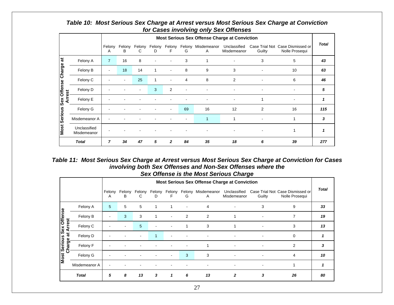|                      |                             |                |             |             |   |                |                          |                                                    | Most Serious Sex Offense Charge at Conviction |                |                                                    |              |
|----------------------|-----------------------------|----------------|-------------|-------------|---|----------------|--------------------------|----------------------------------------------------|-----------------------------------------------|----------------|----------------------------------------------------|--------------|
|                      |                             | Felony<br>A    | Felony<br>B | Felony<br>С | D | F              | G                        | Felony Felony Felony Misdemeanor Unclassified<br>A | Misdemeanor                                   | Guilty         | Case Trial Not Case Dismissed or<br>Nolle Prosequi | <b>Total</b> |
| ಕ<br>ω               | Felony A                    | $\overline{7}$ | 16          | 8           |   | ٠              | 3                        | $\mathbf{1}$                                       | $\blacksquare$                                | 3              | 5                                                  | 43           |
| Chargo               | Felony B                    |                | 18          | 14          | 1 | $\blacksquare$ | 8                        | 9                                                  | 3                                             | $\blacksquare$ | 10                                                 | 63           |
|                      | Felony C                    |                |             | 25          | 1 | ٠              | 4                        | 8                                                  | $\overline{2}$                                |                | 6                                                  | 46           |
| <b>Offense</b>       | Felony D                    |                |             |             | 3 | 2              |                          |                                                    |                                               |                |                                                    | 5            |
| <b>Arrest</b><br>Sex | Felony E                    |                |             |             |   |                |                          |                                                    |                                               |                |                                                    | 1            |
|                      | Felony G                    |                |             |             |   |                | 69                       | 16                                                 | 12                                            | 2              | 16                                                 | 115          |
| <b>Serious</b>       | Misdemeanor A               |                |             |             |   |                | $\overline{\phantom{a}}$ | $\mathbf{1}$                                       | 1                                             | $\blacksquare$ | 1                                                  | 3            |
| Most                 | Unclassified<br>Misdemeanor |                |             |             |   |                |                          |                                                    |                                               |                | 1                                                  | 1            |
|                      | <b>Total</b>                |                | 34          | 47          | 5 | $\mathbf{2}$   | 84                       | 35                                                 | 18                                            | 6              | 39                                                 | 277          |

## *Table 10: Most Serious Sex Charge at Arrest versus Most Serious Sex Charge at Conviction for Cases involving only Sex Offenses*

#### *Table 11: Most Serious Sex Charge at Arrest versus Most Serious Sex Charge at Conviction for Cases involving both Sex Offenses and Non-Sex Offenses where the Sex Offense is the Most Serious Charge*

<span id="page-34-0"></span>

|                                  |               |             | Most Serious Sex Offense Charge at Conviction |             |                |                |   |                                      |             |        |                                                    |              |
|----------------------------------|---------------|-------------|-----------------------------------------------|-------------|----------------|----------------|---|--------------------------------------|-------------|--------|----------------------------------------------------|--------------|
|                                  |               | Felony<br>A | Felony<br>B                                   | Felony<br>С | Felony<br>D    | Felony<br>F    | G | Felony Misdemeanor Unclassified<br>Α | Misdemeanor | Guilty | Case Trial Not Case Dismissed or<br>Nolle Prosequi | <b>Total</b> |
|                                  | Felony A      | 5           | 5                                             | 5           |                |                |   | 4                                    |             | 3      | 9                                                  | 33           |
| <b>Offense</b><br>ō,<br>Φ<br>Sex | Felony B      |             | 3                                             | 3           | 1              | $\blacksquare$ | 2 | $\overline{2}$                       | 1           |        | 7                                                  | 19           |
|                                  | Felony C      |             |                                               | 5           |                |                |   | 3                                    |             |        | 3                                                  | 13           |
|                                  | ಸ<br>Felony D |             |                                               |             | $\blacksquare$ | $\blacksquare$ |   |                                      |             |        | $\Omega$                                           |              |
| <b>Serious</b><br>harge          | Felony F      |             |                                               |             |                |                |   |                                      |             |        | 2                                                  | 3            |
| ပ<br>Most                        | Felony G      |             |                                               |             |                | $\blacksquare$ | 3 | 3                                    | ۰           |        | 4                                                  | 10           |
|                                  | Misdemeanor A |             |                                               |             |                |                |   |                                      |             |        |                                                    |              |
|                                  | <b>Total</b>  | 5           | 8                                             | 13          | 3              | 1              | 6 | 13                                   | 2           | 3      | 26                                                 | 80           |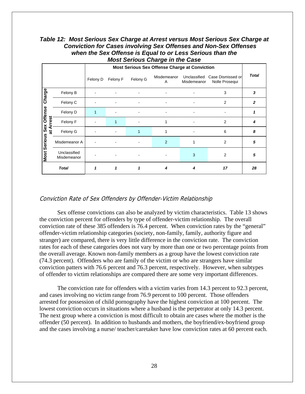### <span id="page-35-0"></span>*Table 12: Most Serious Sex Charge at Arrest versus Most Serious Sex Charge at Conviction for Cases involving Sex Offenses and Non-Sex Offenses when the Sex Offense is Equal to or Less Serious than the Most Serious Charge in the Case*

|                |                             |          |          |                          | Most Serious Sex Offense Charge at Conviction |                             |                                     |              |
|----------------|-----------------------------|----------|----------|--------------------------|-----------------------------------------------|-----------------------------|-------------------------------------|--------------|
|                |                             | Felony D | Felony F | Felony G                 | Misdemeanor<br>$\mathsf{A}$                   | Unclassified<br>Misdemeanor | Case Dismissed or<br>Nolle Prosequi | <b>Total</b> |
| Charge         | Felony B                    |          |          | $\overline{\phantom{a}}$ | $\overline{\phantom{a}}$                      |                             | 3                                   | 3            |
|                | Felony C                    |          |          |                          | $\blacksquare$                                |                             | 2                                   | 2            |
| Offense        | Felony D                    |          |          |                          |                                               |                             |                                     |              |
| rest           | Felony F                    |          | 1        |                          |                                               |                             | 2                                   | 4            |
| Sex<br>ಹ<br>us | Felony G                    |          |          | 1                        |                                               |                             | 6                                   | 8            |
| Serior         | Misdemeanor A               |          |          |                          | 2                                             |                             | $\overline{2}$                      | 5            |
| Most           | Unclassified<br>Misdemeanor |          |          | ٠                        |                                               | 3                           | 2                                   | 5            |
|                | <b>Total</b>                | 1        | 1        | 1                        | 4                                             | 4                           | 17                                  | 28           |

### Conviction Rate of Sex Offenders by Offender-Victim Relationship

Sex offense convictions can also be analyzed by victim characteristics. Table 13 shows the conviction percent for offenders by type of offender-victim relationship. The overall conviction rate of these 385 offenders is 76.4 percent. When conviction rates by the "general" offender-victim relationship categories (society, non-family, family, authority figure and stranger) are compared, there is very little difference in the conviction rate. The conviction rates for each of these categories does not vary by more than one or two percentage points from the overall average. Known non-family members as a group have the lowest conviction rate (74.3 percent). Offenders who are family of the victim or who are strangers have similar conviction patters with 76.6 percent and 76.3 percent, respectively. However, when subtypes of offender to victim relationships are compared there are some very important differences.

The conviction rate for offenders with a victim varies from 14.3 percent to 92.3 percent, and cases involving no victim range from 76.9 percent to 100 percent. Those offenders arrested for possession of child pornography have the highest conviction at 100 percent. The lowest conviction occurs in situations where a husband is the perpetrator at only 14.3 percent. The next group where a conviction is most difficult to obtain are cases where the mother is the offender (50 percent). In addition to husbands and mothers, the boyfriend/ex-boyfriend group and the cases involving a nurse/ teacher/caretaker have low conviction rates at 60 percent each.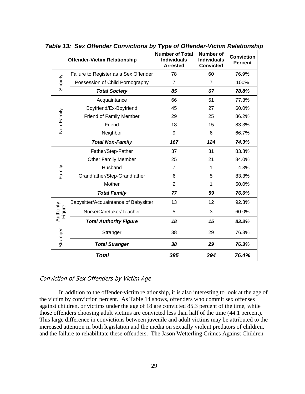|                     | <b>Offender-Victim Relationship</b>   | <b>Number of Total</b><br><b>Individuals</b><br><b>Arrested</b> | <b>Number of</b><br><b>Individuals</b><br><b>Convicted</b> | <b>Conviction</b><br><b>Percent</b> |
|---------------------|---------------------------------------|-----------------------------------------------------------------|------------------------------------------------------------|-------------------------------------|
|                     | Failure to Register as a Sex Offender | 78                                                              | 60                                                         | 76.9%                               |
| Society             | Possession of Child Pornography       | $\overline{7}$                                                  | $\overline{7}$                                             | 100%                                |
|                     | <b>Total Society</b>                  | 85                                                              | 67                                                         | 78.8%                               |
|                     | Acquaintance                          | 66                                                              | 51                                                         | 77.3%                               |
|                     | Boyfriend/Ex-Boyfriend                | 45                                                              | 27                                                         | 60.0%                               |
| Non-Family          | <b>Friend of Family Member</b>        | 29                                                              | 25                                                         | 86.2%                               |
|                     | Friend                                | 18                                                              | 15                                                         | 83.3%                               |
|                     | Neighbor                              | 9                                                               | 6                                                          | 66.7%                               |
|                     | <b>Total Non-Family</b>               | 167                                                             | 124                                                        | 74.3%                               |
|                     | Father/Step-Father                    | 37                                                              | 31                                                         | 83.8%                               |
|                     | <b>Other Family Member</b>            | 25                                                              | 21                                                         | 84.0%                               |
|                     | Husband                               | $\overline{7}$                                                  | 1                                                          | 14.3%                               |
| Family              | Grandfather/Step-Grandfather          | 6                                                               | 5                                                          | 83.3%                               |
|                     | Mother                                | $\overline{2}$                                                  | 1                                                          | 50.0%                               |
|                     | <b>Total Family</b>                   | 77                                                              | 59                                                         | 76.6%                               |
|                     | Babysitter/Acquaintance of Babysitter | 13                                                              | 12                                                         | 92.3%                               |
| Authority<br>Figure | Nurse/Caretaker/Teacher               | 5                                                               | 3                                                          | 60.0%                               |
|                     | <b>Total Authority Figure</b>         | 18                                                              | 15                                                         | 83.3%                               |
| Stranger            | Stranger                              | 38                                                              | 29                                                         | 76.3%                               |
|                     | <b>Total Stranger</b>                 | 38                                                              | 29                                                         | 76.3%                               |
|                     | Total                                 | 385                                                             | 294                                                        | 76.4%                               |

## <span id="page-36-0"></span>*Table 13: Sex Offender Convictions by Type of Offender-Victim Relationship*

## Conviction of Sex Offenders by Victim Age

 In addition to the offender-victim relationship, it is also interesting to look at the age of the victim by conviction percent. As Table 14 shows, offenders who commit sex offenses against children, or victims under the age of 18 are convicted 85.3 percent of the time, while those offenders choosing adult victims are convicted less than half of the time (44.1 percent). This large difference in convictions between juvenile and adult victims may be attributed to the increased attention in both legislation and the media on sexually violent predators of children, and the failure to rehabilitate these offenders. The Jason Wetterling Crimes Against Children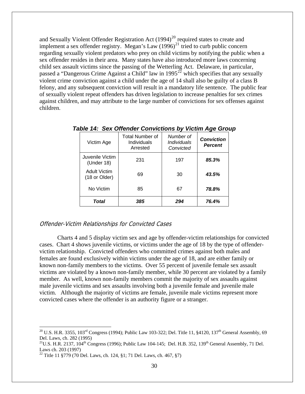<span id="page-37-0"></span>and Sexually Violent Offender Registration Act  $(1994)^{20}$  $(1994)^{20}$  $(1994)^{20}$  required states to create and implement a sex offender registry. Megan's Law  $(1996)^{21}$  $(1996)^{21}$  $(1996)^{21}$  tried to curb public concern regarding sexually violent predators who prey on child victims by notifying the public when a sex offender resides in their area. Many states have also introduced more laws concerning child sex assault victims since the passing of the Wetterling Act. Delaware, in particular, passed a "Dangerous Crime Against a Child" law in  $1995^{22}$  $1995^{22}$  $1995^{22}$  which specifies that any sexually violent crime conviction against a child under the age of 14 shall also be guilty of a class B felony, and any subsequent conviction will result in a mandatory life sentence. The public fear of sexually violent repeat offenders has driven legislation to increase penalties for sex crimes against children, and may attribute to the large number of convictions for sex offenses against children.

| Victim Age                           | Total Number of<br>Individuals<br>Arrested | Number of<br><i>Individuals</i><br>Convicted | <b>Conviction</b><br><b>Percent</b> |
|--------------------------------------|--------------------------------------------|----------------------------------------------|-------------------------------------|
| Juvenile Victim<br>(Under $18$ )     | 231                                        | 197                                          | 85.3%                               |
| <b>Adult Victim</b><br>(18 or Older) | 69                                         | 30                                           | 43.5%                               |
| No Victim                            | 85                                         | 67                                           | 78.8%                               |
| Total                                | 385                                        | 294                                          | 76.4%                               |

|  |  | Table 14: Sex Offender Convictions by Victim Age Group |  |  |
|--|--|--------------------------------------------------------|--|--|
|--|--|--------------------------------------------------------|--|--|

## Offender-Victim Relationships for Convicted Cases

Charts 4 and 5 display victim sex and age by offender-victim relationships for convicted cases. Chart 4 shows juvenile victims, or victims under the age of 18 by the type of offendervictim relationship. Convicted offenders who committed crimes against both males and females are found exclusively within victims under the age of 18, and are either family or known non-family members to the victims. Over 55 percent of juvenile female sex assault victims are violated by a known non-family member, while 30 percent are violated by a family member. As well, known non-family members commit the majority of sex assaults against male juvenile victims and sex assaults involving both a juvenile female and juvenile male victim. Although the majority of victims are female, juvenile male victims represent more convicted cases where the offender is an authority figure or a stranger.

<sup>&</sup>lt;sup>20</sup> U.S. H.R. 3355, 103<sup>rd</sup> Congress (1994); Public Law 103-322; Del. Title 11, §4120, 137<sup>th</sup> General Assembly, 69 Del. Laws, ch. 282 (1995)

<sup>&</sup>lt;sup>21</sup>U.S. H.R. 2137, 104<sup>th</sup> Congress (1996); Public Law 104-145; Del. H.B. 352, 139<sup>th</sup> General Assembly, 71 Del. Laws ch. 203 (1997)

<sup>&</sup>lt;sup>22</sup> Title 11 §779 (70 Del. Laws, ch. 124, §1; 71 Del. Laws, ch. 467, §7)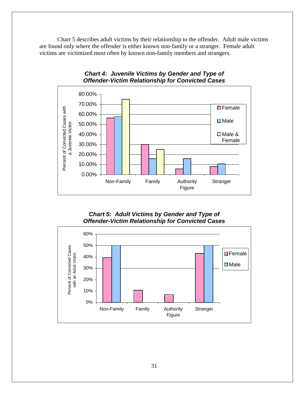<span id="page-38-0"></span>Chart 5 describes adult victims by their relationship to the offender. Adult male victims are found only where the offender is either known non-family or a stranger. Female adult victims are victimized most often by known non-family members and strangers.



## *Chart 4: Juvenile Victims by Gender and Type of Offender-Victim Relationship for Convicted Cases*

*Chart 5: Adult Victims by Gender and Type of Offender-Victim Relationship for Convicted Cases*

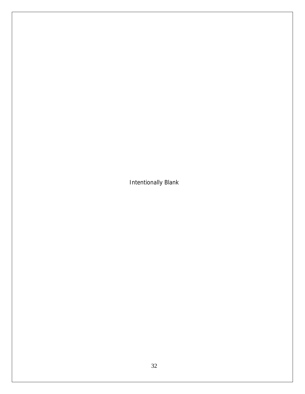Intentionally Blank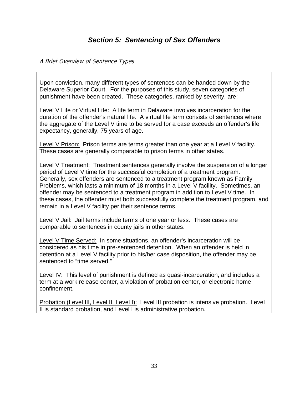# *Section 5: Sentencing of Sex Offenders*

<span id="page-40-0"></span>A Brief Overview of Sentence Types

Upon conviction, many different types of sentences can be handed down by the Delaware Superior Court. For the purposes of this study, seven categories of punishment have been created. These categories, ranked by severity, are:

Level V Life or Virtual Life: A life term in Delaware involves incarceration for the duration of the offender's natural life. A virtual life term consists of sentences where the aggregate of the Level V time to be served for a case exceeds an offender's life expectancy, generally, 75 years of age.

Level V Prison: Prison terms are terms greater than one year at a Level V facility. These cases are generally comparable to prison terms in other states.

Level V Treatment: Treatment sentences generally involve the suspension of a longer period of Level V time for the successful completion of a treatment program. Generally, sex offenders are sentenced to a treatment program known as Family Problems, which lasts a minimum of 18 months in a Level V facility. Sometimes, an offender may be sentenced to a treatment program in addition to Level V time. In these cases, the offender must both successfully complete the treatment program, and remain in a Level V facility per their sentence terms.

Level V Jail: Jail terms include terms of one year or less. These cases are comparable to sentences in county jails in other states.

Level V Time Served: In some situations, an offender's incarceration will be considered as his time in pre-sentenced detention. When an offender is held in detention at a Level V facility prior to his/her case disposition, the offender may be sentenced to "time served."

Level IV: This level of punishment is defined as quasi-incarceration, and includes a term at a work release center, a violation of probation center, or electronic home confinement.

Probation (Level III, Level II, Level I): Level III probation is intensive probation. Level II is standard probation, and Level I is administrative probation.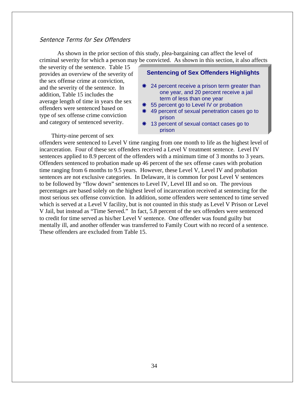#### <span id="page-41-0"></span>Sentence Terms for Sex Offenders

 As shown in the prior section of this study, plea-bargaining can affect the level of criminal severity for which a person may be convicted. As shown in this section, it also affects

the severity of the sentence. Table 15 provides an overview of the severity of the sex offense crime at conviction, and the severity of the sentence. In addition, Table 15 includes the average length of time in years the sex offenders were sentenced based on type of sex offense crime conviction and category of sentenced severity.

Thirty-nine percent of sex

#### **Sentencing of Sex Offenders Highlights**

- \* 24 percent receive a prison term greater than one year, and 20 percent receive a jail term of less than one year
- $*$  55 percent go to Level IV or probation
- Å 49 percent of sexual penetration cases go to prison
- \* 13 percent of sexual contact cases go to prison

offenders were sentenced to Level V time ranging from one month to life as the highest level of incarceration. Four of these sex offenders received a Level V treatment sentence. Level IV sentences applied to 8.9 percent of the offenders with a minimum time of 3 months to 3 years. Offenders sentenced to probation made up 46 percent of the sex offense cases with probation time ranging from 6 months to 9.5 years. However, these Level V, Level IV and probation sentences are not exclusive categories. In Delaware, it is common for post Level V sentences to be followed by "flow down" sentences to Level IV, Level III and so on. The previous percentages are based solely on the highest level of incarceration received at sentencing for the most serious sex offense conviction. In addition, some offenders were sentenced to time served which is served at a Level V facility, but is not counted in this study as Level V Prison or Level V Jail, but instead as "Time Served." In fact, 5.8 percent of the sex offenders were sentenced to credit for time served as his/her Level V sentence. One offender was found guilty but mentally ill, and another offender was transferred to Family Court with no record of a sentence. These offenders are excluded from Table 15.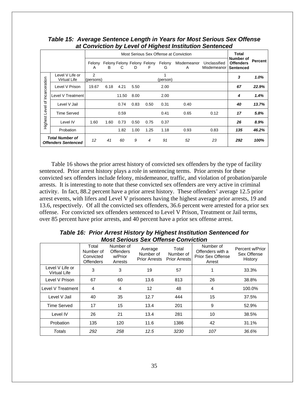|                                                      |                                 | Most Serious Sex Offense at Conviction |      |       |      |                                  |             |                  |                             | <b>Total</b>                                      |         |
|------------------------------------------------------|---------------------------------|----------------------------------------|------|-------|------|----------------------------------|-------------|------------------|-----------------------------|---------------------------------------------------|---------|
|                                                      |                                 | Felony<br>A                            | В    | C     | D    | Felony Felony Felony Felony<br>F | Felony<br>G | Misdemeanor<br>A | Unclassified<br>Misdemeanor | Number of<br><b>Offenders</b><br><b>Sentenced</b> | Percent |
|                                                      | Level V Life or<br>Virtual Life | 2<br>(persons)                         |      |       |      |                                  | (person)    |                  |                             | 3                                                 | 1.0%    |
|                                                      | Level V Prison                  | 19.67                                  | 6.18 | 4.21  | 5.50 |                                  | 2.00        |                  |                             | 67                                                | 22.9%   |
| Level of Incarceration                               | Level V Treatment               |                                        |      | 11.50 | 8.00 |                                  | 2.00        |                  |                             | 4                                                 | 1.4%    |
|                                                      | Level V Jail                    |                                        |      | 0.74  | 0.83 | 0.50                             | 0.31        | 0.40             |                             | 40                                                | 13.7%   |
|                                                      | <b>Time Served</b>              |                                        |      | 0.59  |      |                                  | 0.41        | 0.65             | 0.12                        | 17                                                | 5.8%    |
| Highest                                              | Level IV                        | 1.60                                   | 1.60 | 0.73  | 0.50 | 0.75                             | 0.37        |                  |                             | 26                                                | 8.9%    |
|                                                      | Probation                       |                                        |      | 1.82  | 1.00 | 1.25                             | 1.18        | 0.93             | 0.83                        | 135                                               | 46.2%   |
| <b>Total Number of</b><br><b>Offenders Sentenced</b> |                                 | 12                                     | 41   | 60    | 9    | 4                                | 91          | 52               | 23                          | 292                                               | 100%    |

## <span id="page-42-0"></span>*Table 15: Average Sentence Length in Years for Most Serious Sex Offense at Conviction by Level of Highest Institution Sentenced*

Table 16 shows the prior arrest history of convicted sex offenders by the type of facility sentenced. Prior arrest history plays a role in sentencing terms. Prior arrests for these convicted sex offenders include felony, misdemeanor, traffic, and violation of probation/parole arrests. It is interesting to note that these convicted sex offenders are very active in criminal activity. In fact, 88.2 percent have a prior arrest history. These offenders' average 12.5 prior arrest events, with lifers and Level V prisoners having the highest average prior arrests, 19 and 13.6, respectively. Of all the convicted sex offenders, 36.6 percent were arrested for a prior sex offense. For convicted sex offenders sentenced to Level V Prison, Treatment or Jail terms, over 85 percent have prior arrests, and 40 percent have a prior sex offense arrest.

|                                        | Total<br>Number of<br>Convicted<br><b>Offenders</b> | Number of<br><b>Offenders</b><br>w/Prior<br>Arrests | Average<br>Number of<br><b>Prior Arrests</b> | Total<br>Number of<br><b>Prior Arrests</b> | Number of<br>Offenders with a<br>Prior Sex Offense<br>Arrest | Percent w/Prior<br>Sex Offense<br>History |
|----------------------------------------|-----------------------------------------------------|-----------------------------------------------------|----------------------------------------------|--------------------------------------------|--------------------------------------------------------------|-------------------------------------------|
| Level V Life or<br><b>Virtual Life</b> | 3                                                   | 3                                                   | 19                                           | 57                                         | 1                                                            | 33.3%                                     |
| Level V Prison                         | 67                                                  | 60                                                  | 13.6                                         | 813                                        | 26                                                           | 38.8%                                     |
| Level V Treatment                      | 4                                                   | 4                                                   | 12                                           | 48                                         | 4                                                            | 100.0%                                    |
| Level V Jail                           | 40                                                  | 35                                                  | 12.7                                         | 444                                        | 15                                                           | 37.5%                                     |
| <b>Time Served</b>                     | 17                                                  | 15                                                  | 13.4                                         | 201                                        | 9                                                            | 52.9%                                     |
| Level IV                               | 26                                                  | 21                                                  | 13.4                                         | 281                                        | 10                                                           | 38.5%                                     |
| Probation                              | 135                                                 | 120                                                 | 11.6                                         | 1386                                       | 42                                                           | 31.1%                                     |
| Totals                                 | 292                                                 | 258                                                 | 12.5                                         | 3230                                       | 107                                                          | 36.6%                                     |

*Table 16: Prior Arrest History by Highest Institution Sentenced for Most Serious Sex Offense Conviction*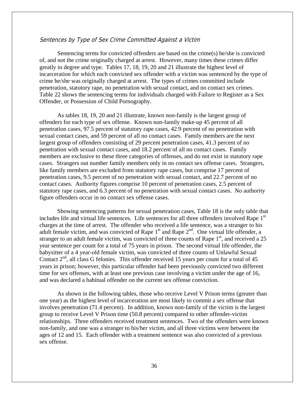#### <span id="page-43-0"></span>Sentences by Type of Sex Crime Committed Against a Victim

Sentencing terms for convicted offenders are based on the crime(s) he/she is convicted of, and not the crime originally charged at arrest. However, many times these crimes differ greatly in degree and type. Tables 17, 18, 19, 20 and 21 illustrate the highest level of incarceration for which each convicted sex offender with a victim was sentenced by the type of crime he/she was originally charged at arrest. The types of crimes committed include penetration, statutory rape, no penetration with sexual contact, and no contact sex crimes. Table 22 shows the sentencing terms for individuals charged with Failure to Register as a Sex Offender, or Possession of Child Pornography.

As tables 18, 19, 20 and 21 illustrate, known non-family is the largest group of offenders for each type of sex offense. Known non-family make-up 45 percent of all penetration cases, 97.5 percent of statutory rape cases, 42.9 percent of no penetration with sexual contact cases, and 59 percent of all no contact cases. Family members are the next largest group of offenders consisting of 29 percent penetration cases, 41.3 percent of no penetration with sexual contact cases, and 18.2 percent of all no contact cases. Family members are exclusive to these three categories of offenses, and do not exist in statutory rape cases. Strangers out number family members only in no contact sex offense cases. Strangers, like family members are excluded from statutory rape cases, but comprise 17 percent of penetration cases, 9.5 percent of no penetration with sexual contact, and 22.7 percent of no contact cases. Authority figures comprise 10 percent of penetration cases, 2.5 percent of statutory rape cases, and 6.3 percent of no penetration with sexual contact cases. No authority figure offenders occur in no contact sex offense cases.

Showing sentencing patterns for sexual penetration cases, Table 18 is the only table that includes life and virtual life sentences. Life sentences for all three offenders involved Rape 1st charges at the time of arrest. The offender who received a life sentence, was a stranger to his adult female victim, and was convicted of Rape  $1<sup>st</sup>$  and Rape  $2<sup>nd</sup>$ . One virtual life offender, a stranger to an adult female victim, was convicted of three counts of Rape  $1<sup>st</sup>$ , and received a 25 year sentence per count for a total of 75 years in prison. The second virtual life offender, the babysitter of a 4 year-old female victim, was convicted of three counts of Unlawful Sexual Contact  $2<sup>nd</sup>$ , all class G felonies. This offender received 15 years per count for a total of 45 years in prison; however, this particular offender had been previously convicted two different time for sex offenses, with at least one previous case involving a victim under the age of 16, and was declared a habitual offender on the current sex offense conviction.

As shown in the following tables, those who receive Level V Prison terms (greater than one year) as the highest level of incarceration are most likely to commit a sex offense that involves penetration (71.4 percent). In addition, known non-family of the victim is the largest group to receive Level V Prison time (50.8 percent) compared to other offender-victim relationships. Three offenders received treatment sentences. Two of the offenders were known non-family, and one was a stranger to his/her victim, and all three victims were between the ages of 12 and 15. Each offender with a treatment sentence was also convicted of a previous sex offense.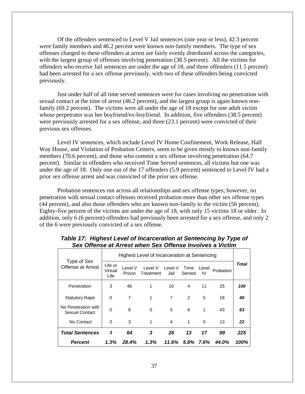<span id="page-44-0"></span>Of the offenders sentenced to Level V Jail sentences (one year or less), 42.3 percent were family members and 46.2 percent were known non-family members. The type of sex offenses charged to these offenders at arrest are fairly evenly distributed across the categories, with the largest group of offenses involving penetration (38.5 percent). All the victims for offenders who receive Jail sentences are under the age of 18, and three offenders (11.5 percent) had been arrested for a sex offense previously, with two of these offenders being convicted previously.

Just under half of all time served sentences were for cases involving no penetration with sexual contact at the time of arrest (46.2 percent), and the largest group is again known nonfamily (69.2 percent). The victims were all under the age of 18 except for one adult victim whose perpetrator was her boyfriend/ex-boyfriend. In addition, five offenders (38.5 percent) were previously arrested for a sex offense, and three (23.1 percent) were convicted of their previous sex offenses.

Level IV sentences, which include Level IV Home Confinement, Work Release, Half Way House, and Violation of Probation Centers, seem to be given mostly to known non-family members (70.6 percent), and those who commit a sex offense involving penetration (64.7) percent). Similar to offenders who received Time Served sentences, all victims but one was under the age of 18. Only one out of the 17 offenders (5.9 percent) sentenced to Level IV had a prior sex offense arrest and was convicted of the prior sex offense.

Probation sentences run across all relationships and sex offense types; however, no penetration with sexual contact offenses received probation more than other sex offense types (44 percent), and also those offenders who are known non-family to the victim (56 percent). Eighty-five percent of the victims are under the age of 18, with only 15 victims 18 or older. In addition, only 6 (6 percent) offenders had previously been arrested for a sex offense, and only 2 of the 6 were previously convicted of a sex offense.

|                                       | Highest Level of Incarceration at Sentencing |                   |                      |                 |                |             |           |              |  |  |
|---------------------------------------|----------------------------------------------|-------------------|----------------------|-----------------|----------------|-------------|-----------|--------------|--|--|
| Type of Sex<br>Offense at Arrest      | Life or<br>Virtual<br>Life                   | Level V<br>Prison | Level V<br>Treatment | Level V<br>Jail | Time<br>Served | Level<br>IV | Probation | <b>Total</b> |  |  |
| Penetration                           | 3                                            | 46                | 1                    | 10              | 4              | 11          | 25        | 100          |  |  |
| <b>Statutory Rape</b>                 | 0                                            | 7                 | 1                    | 7               | 2              | 5           | 18        | 40           |  |  |
| No Penetration with<br>Sexual Contact | 0                                            | 8                 | 0                    | 5               | 6              | 1           | 43        | 63           |  |  |
| No Contact                            | 0                                            | 3                 | 1                    | 4               | 1              | $\Omega$    | 13        | 22           |  |  |
| <b>Total Sentences</b>                | 3                                            | 64                | 3                    | 26              | 13             | 17          | 99        | 225          |  |  |
| <b>Percent</b>                        | 1.3%                                         | 28.4%             | 1.3%                 | 11.6%           | 5.8% 7.6%      |             | 44.0%     | 100%         |  |  |

*Table 17: Highest Level of Incarceration at Sentencing by Type of Sex Offense at Arrest when Sex Offense Involves a Victim*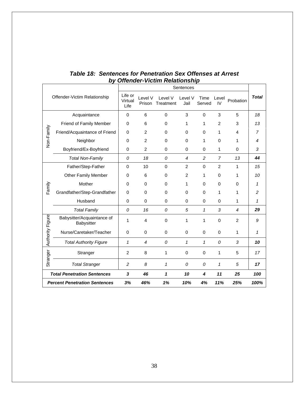|                                                                                      | Sentences                                |                                                                       |                   |                      |                 |                |                |                |                  |  |  |
|--------------------------------------------------------------------------------------|------------------------------------------|-----------------------------------------------------------------------|-------------------|----------------------|-----------------|----------------|----------------|----------------|------------------|--|--|
|                                                                                      | Offender-Victim Relationship             | Life or<br>Virtual<br>Life                                            | Level V<br>Prison | Level V<br>Treatment | Level V<br>Jail | Time<br>Served | Level<br>IV    | Probation      | <b>Total</b>     |  |  |
|                                                                                      | Acquaintance                             | $\mathbf 0$                                                           | 6                 | $\mathbf 0$          | 3               | $\mathbf 0$    | 3              | 5              | 18               |  |  |
|                                                                                      | Friend of Family Member                  | 0                                                                     | 6                 | 0                    | 1               | 1              | 2              | 3              | 13               |  |  |
| Non-Family                                                                           | Friend/Acquaintance of Friend            | $\Omega$                                                              | $\overline{2}$    | $\Omega$             | 0               | $\Omega$       | 1              | 4              | $\overline{7}$   |  |  |
|                                                                                      | Neighbor                                 | $\mathbf 0$                                                           | $\overline{2}$    | $\Omega$             | 0               | 1              | $\Omega$       | 1              | $\boldsymbol{4}$ |  |  |
|                                                                                      | Boyfriend/Ex-Boyfriend                   | 0                                                                     | $\overline{2}$    | 0                    | 0               | 0              | 1              | $\Omega$       | 3                |  |  |
|                                                                                      | <b>Total Non-Family</b>                  | 0                                                                     | 18                | 0                    | 4               | $\overline{c}$ | $\overline{7}$ | 13             | 44               |  |  |
|                                                                                      | Father/Step-Father                       | 10<br>$\Omega$<br>$\overline{2}$<br>$\Omega$<br>2<br>$\mathbf 0$<br>1 |                   |                      |                 |                |                |                | 15               |  |  |
|                                                                                      | Other Family Member                      | 0                                                                     | 6                 | $\Omega$             | $\overline{c}$  | 1              | $\mathbf 0$    | 1              | 10               |  |  |
| Family                                                                               | Mother                                   | 0                                                                     | 0                 | 0                    | 1               | $\mathbf 0$    | 0              | $\Omega$       | $\mathbf{1}$     |  |  |
|                                                                                      | Grandfather/Step-Grandfather             | 0                                                                     | 0                 | 0                    | 0               | 0              | 1              | 1              | 2                |  |  |
|                                                                                      | Husband                                  | 0                                                                     | 0                 | 0                    | 0               | 0              | 0              | 1              | 1                |  |  |
|                                                                                      | <b>Total Family</b>                      | $\overline{O}$                                                        | 16                | $\mathcal{O}$        | 5               | 1              | 3              | $\overline{4}$ | 29               |  |  |
| Authority Figure                                                                     | Babysitter/Acquaintance of<br>Babysitter | 1                                                                     | $\overline{4}$    | $\mathbf 0$          | 1               | 1              | $\mathbf 0$    | $\overline{2}$ | 9                |  |  |
|                                                                                      | Nurse/Caretaker/Teacher                  | $\mathbf 0$<br>0<br>$\mathbf 0$<br>0<br>0<br>0<br>1                   |                   |                      |                 |                |                |                |                  |  |  |
| <b>Total Authority Figure</b><br>1<br>$\overline{4}$<br>$\mathcal{O}$<br>1<br>1<br>0 |                                          |                                                                       |                   |                      |                 |                |                | 3              | 10               |  |  |
| Stranger                                                                             | Stranger                                 | $\overline{2}$                                                        | 8                 | 1                    | 0               | $\mathbf 0$    | 1              | 5              | 17               |  |  |
|                                                                                      | <b>Total Stranger</b>                    | 2                                                                     | 8                 | $\mathbf{1}$         | 0               | 0              | 1              | 5              | 17               |  |  |
| <b>Total Penetration Sentences</b><br>10<br>3<br>46<br>1                             |                                          |                                                                       |                   |                      |                 | 4              | 11             | 25             | 100              |  |  |
|                                                                                      | <b>Percent Penetration Sentences</b>     | 3%                                                                    | 46%               | 1%                   | 10%             | 4%             | 11%            | 25%            | 100%             |  |  |

# *Table 18: Sentences for Penetration Sex Offenses at Arrest by Offender-Victim Relationship*

<span id="page-45-0"></span>Г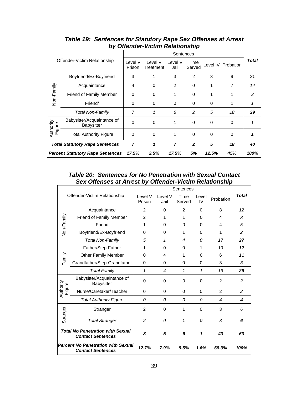<span id="page-46-0"></span>

|                     |                                                 |                   |                      | Sentences       |                |          |                    |       |
|---------------------|-------------------------------------------------|-------------------|----------------------|-----------------|----------------|----------|--------------------|-------|
|                     | Offender-Victim Relationship                    | Level V<br>Prison | Level V<br>Treatment | Level V<br>Jail | Time<br>Served |          | Level IV Probation | Total |
|                     | Boyfriend/Ex-Boyfriend                          | 3                 | 1                    | 3               | 2              | 3        | 9                  | 21    |
|                     | Acquaintance                                    | 4                 | 0                    | 2               | $\Omega$       | 1        | 7                  | 14    |
| Non-Family          | Friend of Family Member                         | $\Omega$          | 0                    | 1               | $\Omega$       |          | 1                  | 3     |
|                     | Friend/                                         | $\Omega$          | 0                    | 0               | 0              | $\Omega$ | 1                  |       |
|                     | Total Non-Family                                | 7                 | 1                    | 6               | 2              | 5        | 18                 | 39    |
|                     | Babysitter/Acquaintance of<br><b>Babysitter</b> | $\Omega$          | 0                    | 1               | $\Omega$       | $\Omega$ | 0                  |       |
| Authority<br>Figure | <b>Total Authority Figure</b>                   | $\Omega$          | $\Omega$             | 1               | $\Omega$       | $\Omega$ | 0                  |       |
|                     | <b>Total Statutory Rape Sentences</b>           | 7                 | 1                    | 7               | $\overline{2}$ | 5        | 18                 | 40    |
|                     | <b>Percent Statutory Rape Sentences</b>         | 17.5%             | 2.5%                 | 17.5%           | 5%             | 12.5%    | 45%                | 100%  |

## *Table 19: Sentences for Statutory Rape Sex Offenses at Arrest by Offender-Victim Relationship*

## *Table 20: Sentences for No Penetration with Sexual Contact Sex Offenses at Arrest by Offender-Victim Relationship*

|                     |                                                                       | Sentences         |                 |                |             |                |                |  |  |  |  |  |
|---------------------|-----------------------------------------------------------------------|-------------------|-----------------|----------------|-------------|----------------|----------------|--|--|--|--|--|
|                     | Offender-Victim Relationship                                          | Level V<br>Prison | Level V<br>Jail | Time<br>Served | Level<br>IV | Probation      | <b>Total</b>   |  |  |  |  |  |
|                     | Acquaintance                                                          | $\overline{2}$    | $\Omega$        | 2              | $\Omega$    | 8              | 12             |  |  |  |  |  |
|                     | <b>Friend of Family Member</b>                                        | $\overline{c}$    | 1               | 1              | $\Omega$    | 4              | 8              |  |  |  |  |  |
| Non-Family          | Friend                                                                | 1                 | $\Omega$        | $\Omega$       | $\Omega$    | 4              | 5              |  |  |  |  |  |
|                     | Boyfriend/Ex-Boyfriend                                                | 0                 | $\Omega$        | 1              | $\Omega$    | 1              | $\mathfrak{p}$ |  |  |  |  |  |
|                     | <b>Total Non-Family</b>                                               | 5                 | 1               | $\overline{4}$ | 0           | 17             | 27             |  |  |  |  |  |
|                     | Father/Step-Father                                                    | 1                 | $\Omega$        | $\Omega$       | 1           | 10             | 12             |  |  |  |  |  |
| Family              | <b>Other Family Member</b>                                            | 0                 | 4               | 1              | 0           | 6              | 11             |  |  |  |  |  |
|                     | Grandfather/Step-Grandfather                                          | 0                 | 0               | 0              | 0           | 3              | 3              |  |  |  |  |  |
|                     | <b>Total Family</b>                                                   | 1                 | 4               | 1              | 1           | 19             | 26             |  |  |  |  |  |
|                     | Babysitter/Acquaintance of<br>Babysitter                              | 0                 | 0               | 0              | 0           | $\overline{2}$ | $\overline{c}$ |  |  |  |  |  |
| Authority<br>Figure | Nurse/Caretaker/Teacher                                               | 0                 | $\Omega$        | $\Omega$       | 0           | $\overline{2}$ | $\overline{c}$ |  |  |  |  |  |
|                     | <b>Total Authority Figure</b>                                         | $\Omega$          | 0               | 0              | 0           | 4              | 4              |  |  |  |  |  |
| Stranger            | Stranger                                                              | $\overline{2}$    | $\Omega$        | 1              | $\Omega$    | 3              | 6              |  |  |  |  |  |
|                     | <b>Total Stranger</b>                                                 | $\overline{c}$    | 0               | 1              | 0           | 3              | 6              |  |  |  |  |  |
|                     | <b>Total No Penetration with Sexual</b><br><b>Contact Sentences</b>   | 8                 | 5               | 6              | 1           | 43             | 63             |  |  |  |  |  |
|                     | <b>Percent No Penetration with Sexual</b><br><b>Contact Sentences</b> | 1.6%              | 68.3%           | 100%           |             |                |                |  |  |  |  |  |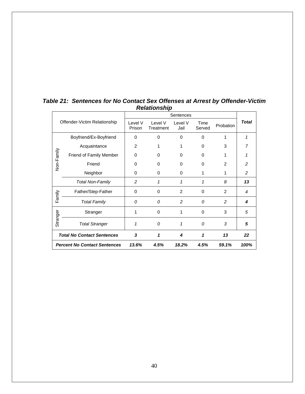|            | Offender-Victim Relationship        | Level V<br>Prison | Level V<br>Treatment | Level V<br>Jail | Time<br>Served | Probation      | <b>Total</b>   |
|------------|-------------------------------------|-------------------|----------------------|-----------------|----------------|----------------|----------------|
|            | Boyfriend/Ex-Boyfriend              | $\Omega$          | $\Omega$             | $\Omega$        | $\Omega$       | 1              | $\mathcal I$   |
|            | Acquaintance                        | 2                 | 1                    | 1               | $\Omega$       | 3              | 7              |
|            | Friend of Family Member             | 0                 | $\Omega$             | $\Omega$        | $\Omega$       | 1              | 1              |
| Non-Family | Friend                              | 0                 | $\Omega$             | $\Omega$        | $\Omega$       | 2              | $\overline{c}$ |
|            | Neighbor                            | 0                 | 0                    | 0               | 1              | 1              | 2              |
|            | <b>Total Non-Family</b>             | 2                 | 1                    | 1               | 1              | 8              | 13             |
| Family     | Father/Step-Father                  | 0                 | 0                    | $\mathfrak{p}$  | $\Omega$       | $\mathfrak{p}$ | 4              |
|            | <b>Total Family</b>                 | 0                 | 0                    | $\mathfrak{p}$  | 0              | 2              | 4              |
|            | Stranger                            | 1                 | $\Omega$             | 1               | $\Omega$       | 3              | 5              |
| Stranger   | <b>Total Stranger</b>               | 1                 | 0                    | 1               | 0              | 3              | 5              |
|            | <b>Total No Contact Sentences</b>   | 3                 | 1                    | 4               | 1              | 13             | 22             |
|            | <b>Percent No Contact Sentences</b> | 13.6%             | 4.5%                 | 18.2%           | 4.5%           | 59.1%          | 100%           |

## <span id="page-47-0"></span>*Table 21: Sentences for No Contact Sex Offenses at Arrest by Offender-Victim Relationship*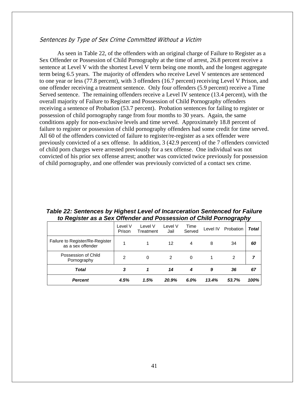#### <span id="page-48-0"></span>Sentences by Type of Sex Crime Committed Without a Victim

As seen in Table 22, of the offenders with an original charge of Failure to Register as a Sex Offender or Possession of Child Pornography at the time of arrest, 26.8 percent receive a sentence at Level V with the shortest Level V term being one month, and the longest aggregate term being 6.5 years. The majority of offenders who receive Level V sentences are sentenced to one year or less (77.8 percent), with 3 offenders (16.7 percent) receiving Level V Prison, and one offender receiving a treatment sentence. Only four offenders (5.9 percent) receive a Time Served sentence. The remaining offenders receive a Level IV sentence (13.4 percent), with the overall majority of Failure to Register and Possession of Child Pornography offenders receiving a sentence of Probation (53.7 percent). Probation sentences for failing to register or possession of child pornography range from four months to 30 years. Again, the same conditions apply for non-exclusive levels and time served. Approximately 18.8 percent of failure to register or possession of child pornography offenders had some credit for time served. All 60 of the offenders convicted of failure to register/re-register as a sex offender were previously convicted of a sex offense. In addition, 3 (42.9 percent) of the 7 offenders convicted of child porn charges were arrested previously for a sex offense. One individual was not convicted of his prior sex offense arrest; another was convicted twice previously for possession of child pornography, and one offender was previously convicted of a contact sex crime.

## *Table 22: Sentences by Highest Level of Incarceration Sentenced for Failure to Register as a Sex Offender and Possession of Child Pornography*

|                                                      | Level V<br>Prison | Level V<br>Treatment | Level V<br>Jail | Time<br>Served | Level IV | Probation | Total |
|------------------------------------------------------|-------------------|----------------------|-----------------|----------------|----------|-----------|-------|
| Failure to Register/Re-Register<br>as a sex offender | 1                 |                      | 12              | 4              | 8        | 34        | 60    |
| Possession of Child<br>Pornography                   | 2                 | 0                    | 2               | 0              |          | 2         |       |
| <b>Total</b>                                         | 3                 |                      | 14              | 4              | 9        | 36        | 67    |
| <b>Percent</b>                                       | 4.5%              | 1.5%                 | 20.9%           | 6.0%           | 13.4%    | 53.7%     | 100%  |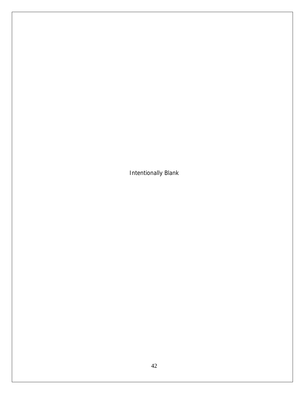Intentionally Blank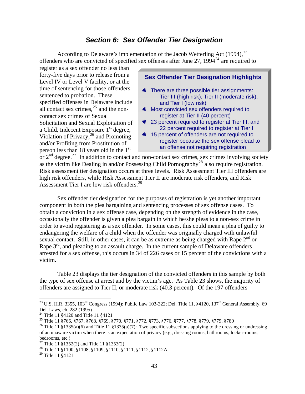## *Section 6: Sex Offender Tier Designation*

<span id="page-50-0"></span>According to Delaware's implementation of the Jacob Wetterling Act (1994),<sup>[23](#page-50-0)</sup> offenders who are convicted of specified sex offenses after June 27,  $1994^{24}$  $1994^{24}$  $1994^{24}$  are required to

register as a sex offender no less than forty-five days prior to release from a Level IV or Level V facility, or at the time of sentencing for those offenders sentenced to probation. These specified offenses in Delaware include all contact sex crimes,  $^{25}$  $^{25}$  $^{25}$  and the noncontact sex crimes of Sexual Solicitation and Sexual Exploitation of a Child, Indecent Exposure  $1<sup>st</sup>$  degree, Violation of Privacy, $^{26}$  $^{26}$  $^{26}$  and Promoting and/or Profiting from Prostitution of person less than 18 years old in the 1st



or  $2<sup>nd</sup>$  degree.<sup>[27](#page-50-0)</sup> In addition to contact and non-contact sex crimes, sex crimes involving society as the victim like Dealing in and/or Possessing Child Pornography<sup>[28](#page-50-0)</sup> also require registration. Risk assessment tier designation occurs at three levels. Risk Assessment Tier III offenders are high risk offenders, while Risk Assessment Tier II are moderate risk offenders, and Risk Assessment Tier I are low risk offenders.<sup>[29](#page-50-0)</sup>

Sex offender tier designation for the purposes of registration is yet another important component in both the plea bargaining and sentencing processes of sex offense cases. To obtain a conviction in a sex offense case, depending on the strength of evidence in the case, occasionally the offender is given a plea bargain in which he/she pleas to a non-sex crime in order to avoid registering as a sex offender. In some cases, this could mean a plea of guilty to endangering the welfare of a child when the offender was originally charged with unlawful sexual contact. Still, in other cases, it can be as extreme as being charged with Rape  $2<sup>nd</sup>$  or Rape 3<sup>rd</sup>, and pleading to an assault charge. In the current sample of Delaware offenders arrested for a sex offense, this occurs in 34 of 226 cases or 15 percent of the convictions with a victim.

Table 23 displays the tier designation of the convicted offenders in this sample by both the type of sex offense at arrest and by the victim's age. As Table 23 shows, the majority of offenders are assigned to Tier II, or moderate risk (40.3 percent). Of the 197 offenders

<sup>&</sup>lt;sup>23</sup> U.S. H.R. 3355, 103<sup>rd</sup> Congress (1994); Public Law 103-322; Del. Title 11, §4120, 137<sup>th</sup> General Assembly, 69 Del. Laws, ch. 282 (1995)

<sup>&</sup>lt;sup>24</sup> Title 11 §4120 and Title 11 §4121

<sup>25</sup> Title 11 §766, §767, §768, §769, §770, §771, §772, §773, §776, §777, §778, §779, §779, §780

<sup>&</sup>lt;sup>26</sup> Title 11 §1335(a)(6) and Title 11 §1335(a)(7): Two specific subsections applying to the dressing or undressing of an unaware victim when there is an expectation of privacy (e.g., dressing rooms, bathrooms, locker-rooms, bedrooms, etc.)

<sup>&</sup>lt;sup>27</sup> Title 11 §1352(2) and Title 11 §1353(2)

<sup>28</sup> Title 11 §1100, §1108, §1109, §1110, §1111, §1112, §1112A

<sup>29</sup> Title 11 §4121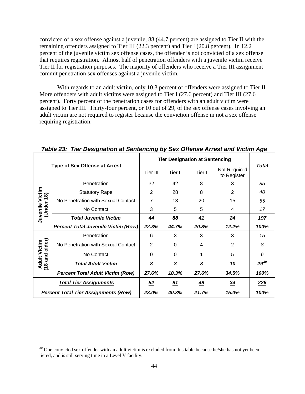<span id="page-51-0"></span>convicted of a sex offense against a juvenile, 88 (44.7 percent) are assigned to Tier II with the remaining offenders assigned to Tier III (22.3 percent) and Tier I (20.8 percent). In 12.2 percent of the juvenile victim sex offense cases, the offender is not convicted of a sex offense that requires registration. Almost half of penetration offenders with a juvenile victim receive Tier II for registration purposes. The majority of offenders who receive a Tier III assignment commit penetration sex offenses against a juvenile victim.

With regards to an adult victim, only 10.3 percent of offenders were assigned to Tier II. More offenders with adult victims were assigned to Tier I (27.6 percent) and Tier III (27.6) percent). Forty percent of the penetration cases for offenders with an adult victim were assigned to Tier III. Thirty-four percent, or 10 out of 29, of the sex offense cases involving an adult victim are not required to register because the conviction offense in not a sex offense requiring registration.

|                                              |                                             |          |          | <b>Tier Designation at Sentencing</b> |                             |              |
|----------------------------------------------|---------------------------------------------|----------|----------|---------------------------------------|-----------------------------|--------------|
|                                              | <b>Type of Sex Offense at Arrest</b>        | Tier III | Tier II  | Tier I                                | Not Required<br>to Register | <b>Total</b> |
|                                              | Penetration                                 | 32       | 42       | 8                                     | 3                           | 85           |
|                                              | <b>Statutory Rape</b>                       | 2        | 28       | 8                                     | 2                           | 40           |
|                                              | No Penetration with Sexual Contact          | 7        | 13       | 20                                    | 15                          | 55           |
|                                              | No Contact                                  | 3        | 5        | 5                                     | 4                           | 17           |
| Juvenile Victim<br>(Under 18)                | <b>Total Juvenile Victim</b>                | 44       | 88       | 41                                    | 24                          | 197          |
|                                              | <b>Percent Total Juvenile Victim (Row)</b>  | 22.3%    | 44.7%    | 20.8%                                 | 12.2%                       | 100%         |
|                                              | Penetration                                 | 6        | 3        | 3                                     | 3                           | 15           |
| and older)<br>Adult Victim<br>(18 and older) | No Penetration with Sexual Contact          | 2        | 0        | 4                                     | 2                           | 8            |
|                                              | No Contact                                  | $\Omega$ | $\Omega$ | 1                                     | 5                           | 6            |
|                                              | <b>Total Adult Victim</b>                   | 8        | 3        | 8                                     | 10                          | $29^{30}$    |
|                                              | <b>Percent Total Adult Victim (Row)</b>     | 27.6%    | 10.3%    | 27.6%                                 | 34.5%                       | 100%         |
|                                              | <b>Total Tier Assignments</b>               | 52       | 91       | <u>49</u>                             | <u>34</u>                   | <u>226</u>   |
|                                              | <b>Percent Total Tier Assignments (Row)</b> | 23.0%    | 40.3%    | 21.7%                                 | <u>15.0%</u>                | <u> 100%</u> |

*Table 23: Tier Designation at Sentencing by Sex Offense Arrest and Victim Age* 

<sup>&</sup>lt;sup>30</sup> One convicted sex offender with an adult victim is excluded from this table because he/she has not yet been tiered, and is still serving time in a Level V facility.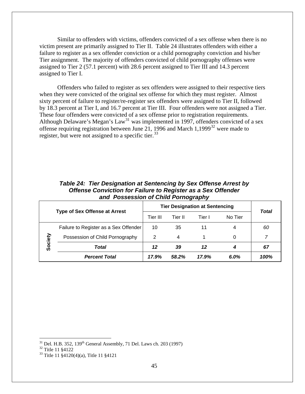<span id="page-52-0"></span>Similar to offenders with victims, offenders convicted of a sex offense when there is no victim present are primarily assigned to Tier II. Table 24 illustrates offenders with either a failure to register as a sex offender conviction or a child pornography conviction and his/her Tier assignment. The majority of offenders convicted of child pornography offenses were assigned to Tier 2 (57.1 percent) with 28.6 percent assigned to Tier III and 14.3 percent assigned to Tier I.

Offenders who failed to register as sex offenders were assigned to their respective tiers when they were convicted of the original sex offense for which they must register. Almost sixty percent of failure to register/re-register sex offenders were assigned to Tier II, followed by 18.3 percent at Tier I, and 16.7 percent at Tier III. Four offenders were not assigned a Tier. These four offenders were convicted of a sex offense prior to registration requirements. Although Delaware's Megan's Law<sup>[31](#page-52-0)</sup> was implemented in 1997, offenders convicted of a sex offense requiring registration between June 21, 1996 and March  $1,1999^{32}$  $1,1999^{32}$  $1,1999^{32}$  were made to register, but were not assigned to a specific tier.  $33$ 

| Table 24: Tier Designation at Sentencing by Sex Offense Arrest by |
|-------------------------------------------------------------------|
| Offense Conviction for Failure to Register as a Sex Offender      |
| and Possession of Child Pornography                               |

|         | <b>Type of Sex Offense at Arrest</b>  |          | <b>Tier Designation at Sentencing</b> |        |         |       |  |  |  |
|---------|---------------------------------------|----------|---------------------------------------|--------|---------|-------|--|--|--|
|         |                                       | Tier III | Tier II                               | Tier I | No Tier | Total |  |  |  |
|         | Failure to Register as a Sex Offender | 10       | 35                                    | 11     | 4       | 60    |  |  |  |
|         | Possession of Child Pornography       | 2        | 4                                     |        | 0       |       |  |  |  |
| Society | Total                                 | 12       | 39                                    | 12     | 4       | 67    |  |  |  |
|         | <b>Percent Total</b>                  | 17.9%    | 58.2%                                 | 17.9%  | 6.0%    | 100%  |  |  |  |

<sup>&</sup>lt;sup>31</sup> Del. H.B. 352, 139<sup>th</sup> General Assembly, 71 Del. Laws ch. 203 (1997) <sup>32</sup> Title 11 §4122

<sup>33</sup> Title 11 §4120(4)(a), Title 11 §4121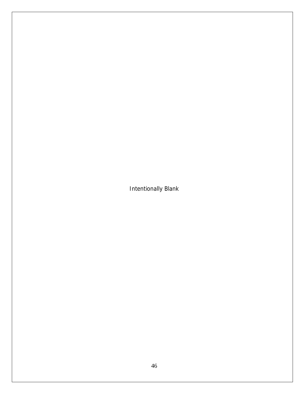Intentionally Blank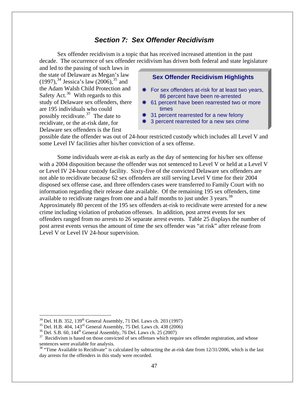# *Section 7: Sex Offender Recidivism*

<span id="page-54-0"></span>Sex offender recidivism is a topic that has received increased attention in the past decade. The occurrence of sex offender recidivism has driven both federal and state legislature

and led to the passing of such laws in the state of Delaware as Megan's law  $(1997)$ ,<sup>[34](#page-54-0)</sup> Jessica's law  $(2006)$ ,<sup>[35](#page-54-0)</sup> and the Adam Walsh Child Protection and Safety Act.<sup>[36](#page-54-0)</sup> With regards to this study of Delaware sex offenders, there are 195 individuals who could possibly recidivate.<sup>[37](#page-54-0)</sup> The date to recidivate, or the at-risk date, for Delaware sex offenders is the first

## **Sex Offender Recidivism Highlights**

- Å For sex offenders at-risk for at least two years, 86 percent have been re-arrested
- $*$  61 percent have been rearrested two or more times
- \* 31 percent rearrested for a new felony
- $*$  3 percent rearrested for a new sex crime

possible date the offender was out of 24-hour restricted custody which includes all Level V and some Level IV facilities after his/her conviction of a sex offense.

Some individuals were at-risk as early as the day of sentencing for his/her sex offense with a 2004 disposition because the offender was not sentenced to Level V or held at a Level V or Level IV 24-hour custody facility. Sixty-five of the convicted Delaware sex offenders are not able to recidivate because 62 sex offenders are still serving Level V time for their 2004 disposed sex offense case, and three offenders cases were transferred to Family Court with no information regarding their release date available. Of the remaining 195 sex offenders, time available to recidivate ranges from one and a half months to just under  $3$  years.<sup>[38](#page-54-0)</sup> Approximately 80 percent of the 195 sex offenders at-risk to recidivate were arrested for a new crime including violation of probation offenses. In addition, post arrest events for sex offenders ranged from no arrests to 26 separate arrest events. Table 25 displays the number of post arrest events versus the amount of time the sex offender was "at risk" after release from Level V or Level IV 24-hour supervision.

<sup>&</sup>lt;sup>34</sup> Del. H.B. 352, 139<sup>th</sup> General Assembly, 71 Del. Laws ch. 203 (1997)

<sup>&</sup>lt;sup>35</sup> Del. H.B. 404, 143<sup>rd</sup> General Assembly, 75 Del. Laws ch. 438 (2006)<br><sup>36</sup> Del. S.B. 60, 144<sup>th</sup> General Assembly, 76 Del. Laws ch. 25 (2007)<br><sup>37</sup> Recidivism is based on those convicted of sex offenses which require s sentences were available for analysis.

 $38$  "Time Available to Recidivate" is calculated by subtracting the at-risk date from  $12/31/2006$ , which is the last day arrests for the offenders in this study were recorded.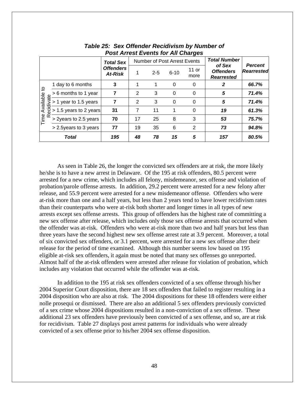<span id="page-55-0"></span>

|                          |                        | <b>Total Sex</b>            |    |         | <b>Number of Post Arrest Events</b> |               | <b>Total Number</b>                             |                              |
|--------------------------|------------------------|-----------------------------|----|---------|-------------------------------------|---------------|-------------------------------------------------|------------------------------|
|                          |                        | <b>Offenders</b><br>At-Risk |    | $2 - 5$ | $6 - 10$                            | 11 or<br>more | of Sex<br><b>Offenders</b><br><b>Rearrested</b> | <b>Percent</b><br>Rearrested |
|                          | 1 day to 6 months      | 3                           |    |         | 0                                   | 0             | 2                                               | 66.7%                        |
| $\mathsf{S}$             | > 6 months to 1 year   | 7                           | 2  | 3       | 0                                   | 0             | 5                                               | 71.4%                        |
| Available<br>idivate     | > 1 year to 1.5 years  | 7                           | 2  | 3       | $\Omega$                            | 0             | 5                                               | 71.4%                        |
|                          | > 1.5 years to 2 years | 31                          |    | 11      |                                     | 0             | 19                                              | 61.3%                        |
| $\overline{\text{Time}}$ | > 2years to 2.5 years  | 70                          | 17 | 25      | 8                                   | 3             | 53                                              | 75.7%                        |
|                          | > 2.5 years to 3 years | 77                          | 19 | 35      | 6                                   | 2             | 73                                              | 94.8%                        |
|                          | Total                  | 195                         | 48 | 78      | 15                                  | 5             | 157                                             | 80.5%                        |

*Table 25: Sex Offender Recidivism by Number of Post Arrest Events for All Charges* 

As seen in Table 26, the longer the convicted sex offenders are at risk, the more likely he/she is to have a new arrest in Delaware. Of the 195 at risk offenders, 80.5 percent were arrested for a new crime, which includes all felony, misdemeanor, sex offense and violation of probation/parole offense arrests. In addition, 29.2 percent were arrested for a new felony after release, and 55.9 percent were arrested for a new misdemeanor offense. Offenders who were at-risk more than one and a half years, but less than 2 years tend to have lower recidivism rates than their counterparts who were at-risk both shorter and longer times in all types of new arrests except sex offense arrests. This group of offenders has the highest rate of committing a new sex offense after release, which includes only those sex offense arrests that occurred when the offender was at-risk. Offenders who were at-risk more than two and half years but less than three years have the second highest new sex offense arrest rate at 3.9 percent. Moreover, a total of six convicted sex offenders, or 3.1 percent, were arrested for a new sex offense after their release for the period of time examined. Although this number seems low based on 195 eligible at-risk sex offenders, it again must be noted that many sex offenses go unreported. Almost half of the at-risk offenders were arrested after release for violation of probation, which includes any violation that occurred while the offender was at-risk.

In addition to the 195 at risk sex offenders convicted of a sex offense through his/her 2004 Superior Court disposition, there are 18 sex offenders that failed to register resulting in a 2004 disposition who are also at risk. The 2004 dispositions for these 18 offenders were either nolle prosequi or dismissed. There are also an additional 5 sex offenders previously convicted of a sex crime whose 2004 dispositions resulted in a non-conviction of a sex offense. These additional 23 sex offenders have previously been convicted of a sex offense, and so, are at risk for recidivism. Table 27 displays post arrest patterns for individuals who were already convicted of a sex offense prior to his/her 2004 sex offense disposition.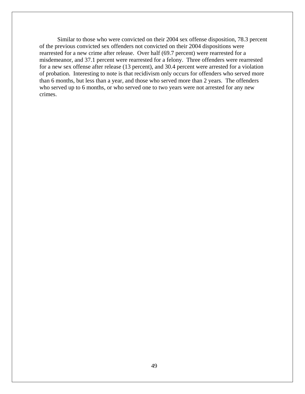Similar to those who were convicted on their 2004 sex offense disposition, 78.3 percent of the previous convicted sex offenders not convicted on their 2004 dispositions were rearrested for a new crime after release. Over half (69.7 percent) were rearrested for a misdemeanor, and 37.1 percent were rearrested for a felony. Three offenders were rearrested for a new sex offense after release (13 percent), and 30.4 percent were arrested for a violation of probation. Interesting to note is that recidivism only occurs for offenders who served more than 6 months, but less than a year, and those who served more than 2 years. The offenders who served up to 6 months, or who served one to two years were not arrested for any new crimes.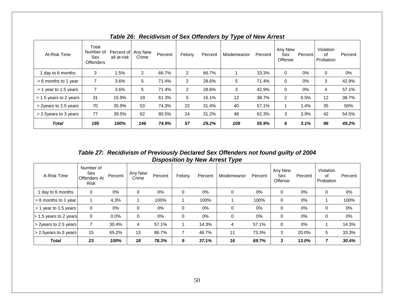| At-Risk Time             | Total<br>Number of<br>Sex<br><b>Offenders</b> | Percent of<br>all at-risk | Any New<br>Crime | Percent | Felony | Percent | Misdemeanor       | Percent | Any New<br>Sex<br>Offense | Percent | Violation<br>0f<br>Probation | Percent |
|--------------------------|-----------------------------------------------|---------------------------|------------------|---------|--------|---------|-------------------|---------|---------------------------|---------|------------------------------|---------|
| day to 6 months          | 3                                             | 1.5%                      | 2                | 66.7%   | 2      | 66.7%   |                   | 33.3%   | 0                         | $0\%$   | 0                            | 0%      |
| > 6 months to 1 year     |                                               | 3.6%                      | 5                | 71.4%   | 2      | 28.6%   | 5                 | 71.4%   | 0                         | $0\%$   | 3                            | 42.9%   |
| > 1 year to 1.5 years    |                                               | 3.6%                      | 5                | 71.4%   | 2      | 28.6%   | 3                 | 42.9%   | $\Omega$                  | $0\%$   | 4                            | 57.1%   |
| $> 1.5$ years to 2 years | 31                                            | 15.9%                     | 19               | 61.3%   | 5      | 16.1%   | $12 \overline{ }$ | 38.7%   | $\overline{2}$            | 6.5%    | $12 \overline{ }$            | 38.7%   |
| > 2years to 2.5 years    | 70                                            | 35.9%                     | 53               | 74.3%   | 22     | 31.4%   | 40                | 57.1%   |                           | 1.4%    | 35                           | 50%     |
| > 2.5 years to 3 years   | 77                                            | 39.5%                     | 62               | 80.5%   | 24     | 31.2%   | 48                | 62.3%   | 3                         | 3.9%    | 42                           | 54.5%   |
| <b>Total</b>             | 195                                           | 100%                      | 146              | 74.9%   | 57     | 29.2%   | 109               | 55.9%   | 6                         | 3.1%    | 96                           | 49.2%   |

*Table 26: Recidivism of Sex Offenders by Type of New Arrest* 

*Table 27: Recidivism of Previously Declared Sex Offenders not found guilty of 2004 Disposition by New Arrest Type* 

<span id="page-57-0"></span>

| A-Risk Time              | Number of<br>Sex<br><b>Offenders At</b><br><b>Risk</b> | Percent | Any New<br>Crime | Percent | Felony | Percent | Misdemeanor | Percent | Any New<br>Sex<br>Offense | Percent | Violation<br>of<br>Probation | Percent |
|--------------------------|--------------------------------------------------------|---------|------------------|---------|--------|---------|-------------|---------|---------------------------|---------|------------------------------|---------|
| day to 6 months          | 0                                                      | 0%      | 0                | 0%      | 0      | 0%      | 0           | 0%      | 0                         | 0%      | 0                            | 0%      |
| > 6 months to 1 year     |                                                        | 4.3%    |                  | 100%    |        | 100%    |             | 100%    | 0                         | 0%      |                              | 100%    |
| > 1 year to 1.5 years    | 0                                                      | 0%      | 0                | $0\%$   | 0      | 0%      | 0           | 0%      |                           | 0%      | 0                            | 0%      |
| $> 1.5$ years to 2 years | 0                                                      | 0.0%    | 0                | $0\%$   | 0      | 0%      | 0           | $0\%$   | $\Omega$                  | 0%      | 0                            | 0%      |
| > 2 years to 2.5 years   |                                                        | 30.4%   | 4                | 57.1%   |        | 14.3%   | 4           | 57.1%   | $\Omega$                  | 0%      |                              | 14.3%   |
| > 2.5 years to 3 years   | 15                                                     | 65.2%   | 13               | 86.7%   | 7      | 46.7%   | 11          | 73.3%   | 3                         | 20.0%   | 5                            | 33.3%   |
| <b>Total</b>             | 23                                                     | 100%    | 18               | 78.3%   | 9      | 37.1%   | 16          | 69.7%   | 3                         | 13.0%   |                              | 30.4%   |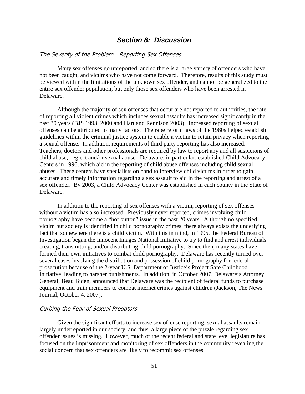## *Section 8: Discussion*

#### <span id="page-58-0"></span>The Severity of the Problem: Reporting Sex Offenses

Many sex offenses go unreported, and so there is a large variety of offenders who have not been caught, and victims who have not come forward. Therefore, results of this study must be viewed within the limitations of the unknown sex offender, and cannot be generalized to the entire sex offender population, but only those sex offenders who have been arrested in Delaware.

Although the majority of sex offenses that occur are not reported to authorities, the rate of reporting all violent crimes which includes sexual assaults has increased significantly in the past 30 years (BJS 1993, 2000 and Hart and Rennison 2003). Increased reporting of sexual offenses can be attributed to many factors. The rape reform laws of the 1980s helped establish guidelines within the criminal justice system to enable a victim to retain privacy when reporting a sexual offense. In addition, requirements of third party reporting has also increased. Teachers, doctors and other professionals are required by law to report any and all suspicions of child abuse, neglect and/or sexual abuse. Delaware, in particular, established Child Advocacy Centers in 1996, which aid in the reporting of child abuse offenses including child sexual abuses. These centers have specialists on hand to interview child victims in order to gain accurate and timely information regarding a sex assault to aid in the reporting and arrest of a sex offender. By 2003, a Child Advocacy Center was established in each county in the State of Delaware.

In addition to the reporting of sex offenses with a victim, reporting of sex offenses without a victim has also increased. Previously never reported, crimes involving child pornography have become a "hot button" issue in the past 20 years. Although no specified victim but society is identified in child pornography crimes, there always exists the underlying fact that somewhere there is a child victim. With this in mind, in 1995, the Federal Bureau of Investigation began the Innocent Images National Initiative to try to find and arrest individuals creating, transmitting, and/or distributing child pornography. Since then, many states have formed their own initiatives to combat child pornography. Delaware has recently turned over several cases involving the distribution and possession of child pornography for federal prosecution because of the 2-year U.S. Department of Justice's Project Safe Childhood Initiative, leading to harsher punishments. In addition, in October 2007, Delaware's Attorney General, Beau Biden, announced that Delaware was the recipient of federal funds to purchase equipment and train members to combat internet crimes against children (Jackson, The News Journal, October 4, 2007).

#### Curbing the Fear of Sexual Predators

Given the significant efforts to increase sex offense reporting, sexual assaults remain largely underreported in our society, and thus, a large piece of the puzzle regarding sex offender issues is missing. However, much of the recent federal and state level legislature has focused on the imprisonment and monitoring of sex offenders in the community revealing the social concern that sex offenders are likely to recommit sex offenses.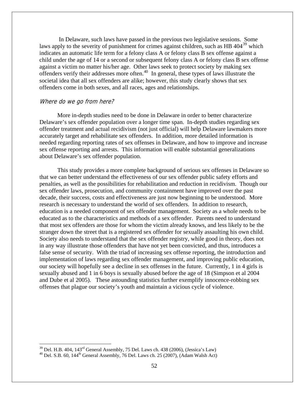<span id="page-59-0"></span> In Delaware, such laws have passed in the previous two legislative sessions. Some laws apply to the severity of punishment for crimes against children, such as HB  $404^{39}$  $404^{39}$  $404^{39}$  which indicates an automatic life term for a felony class A or felony class B sex offense against a child under the age of 14 or a second or subsequent felony class A or felony class B sex offense against a victim no matter his/her age. Other laws seek to protect society by making sex offenders verify their addresses more often.[40](#page-59-0) In general, these types of laws illustrate the societal idea that all sex offenders are alike; however, this study clearly shows that sex offenders come in both sexes, and all races, ages and relationships.

#### Where do we go from here?

 $\overline{a}$ 

More in-depth studies need to be done in Delaware in order to better characterize Delaware's sex offender population over a longer time span. In-depth studies regarding sex offender treatment and actual recidivism (not just official) will help Delaware lawmakers more accurately target and rehabilitate sex offenders. In addition, more detailed information is needed regarding reporting rates of sex offenses in Delaware, and how to improve and increase sex offense reporting and arrests. This information will enable substantial generalizations about Delaware's sex offender population.

This study provides a more complete background of serious sex offenses in Delaware so that we can better understand the effectiveness of our sex offender public safety efforts and penalties, as well as the possibilities for rehabilitation and reduction in recidivism. Though our sex offender laws, prosecution, and community containment have improved over the past decade, their success, costs and effectiveness are just now beginning to be understood. More research is necessary to understand the world of sex offenders. In addition to research, education is a needed component of sex offender management. Society as a whole needs to be educated as to the characteristics and methods of a sex offender. Parents need to understand that most sex offenders are those for whom the victim already knows, and less likely to be the stranger down the street that is a registered sex offender for sexually assaulting his own child. Society also needs to understand that the sex offender registry, while good in theory, does not in any way illustrate those offenders that have not yet been convicted, and thus, introduces a false sense of security. With the triad of increasing sex offense reporting, the introduction and implementation of laws regarding sex offender management, and improving public education, our society will hopefully see a decline in sex offenses in the future. Currently, 1 in 4 girls is sexually abused and 1 in 6 boys is sexually abused before the age of 18 (Simpson et al 2004 and Dube et al 2005). These astounding statistics further exemplify innocence-robbing sex offenses that plague our society's youth and maintain a vicious cycle of violence.

 $39$  Del. H.B. 404, 143<sup>rd</sup> General Assembly, 75 Del. Laws ch. 438 (2006), (Jessica's Law)

 $^{40}$  Del. S.B. 60, 144<sup>th</sup> General Assembly, 76 Del. Laws ch. 25 (2007), (Adam Walsh Act)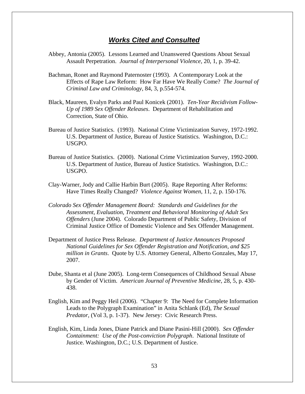## *Works Cited and Consulted*

- <span id="page-60-0"></span>Abbey, Antonia (2005). Lessons Learned and Unanswered Questions About Sexual Assault Perpetration. *Journal of Interpersonal Violence*, 20, 1, p. 39-42.
- Bachman, Ronet and Raymond Paternoster (1993). A Contemporary Look at the Effects of Rape Law Reform: How Far Have We Really Come? *The Journal of Criminal Law and Criminology*, 84, 3, p.554-574.
- Black, Maureen, Evalyn Parks and Paul Konicek (2001). *Ten-Year Recidivism Follow-Up of 1989 Sex Offender Releases*. Department of Rehabilitation and Correction, State of Ohio.
- Bureau of Justice Statistics. (1993). National Crime Victimization Survey, 1972-1992. U.S. Department of Justice, Bureau of Justice Statistics. Washington, D.C.: USGPO.
- Bureau of Justice Statistics. (2000). National Crime Victimization Survey, 1992-2000. U.S. Department of Justice, Bureau of Justice Statistics. Washington, D.C.: USGPO.
- Clay-Warner, Jody and Callie Harbin Burt (2005). Rape Reporting After Reforms: Have Times Really Changed? *Violence Against Women*, 11, 2, p. 150-176.
- *Colorado Sex Offender Management Board: Standards and Guidelines for the Assessment, Evaluation, Treatment and Behavioral Monitoring of Adult Sex Offenders* (June 2004). Colorado Department of Public Safety, Division of Criminal Justice Office of Domestic Violence and Sex Offender Management.
- Department of Justice Press Release. *Department of Justice Announces Proposed National Guidelines for Sex Offender Registration and Notification, and \$25 million in Grants*. Quote by U.S. Attorney General, Alberto Gonzales, May 17, 2007.
- Dube, Shanta et al (June 2005). Long-term Consequences of Childhood Sexual Abuse by Gender of Victim. *American Journal of Preventive Medicine*, 28, 5, p. 430- 438.
- English, Kim and Peggy Heil (2006). "Chapter 9: The Need for Complete Information Leads to the Polygraph Examination" in Anita Schlank (Ed), *The Sexual Predator,* (Vol 3, p. 1-37). New Jersey: Civic Research Press.
- English, Kim, Linda Jones, Diane Patrick and Diane Pasini-Hill (2000). *Sex Offender Containment: Use of the Post-conviction Polygraph*. National Institute of Justice. Washington, D.C.; U.S. Department of Justice.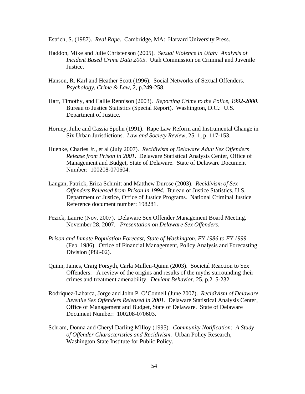Estrich, S. (1987). *Real Rape*. Cambridge, MA: Harvard University Press.

- Haddon, Mike and Julie Christenson (2005). *Sexual Violence in Utah: Analysis of Incident Based Crime Data 2005*. Utah Commission on Criminal and Juvenile Justice.
- Hanson, R. Karl and Heather Scott (1996). Social Networks of Sexual Offenders. *Psychology, Crime & Law*, 2, p.249-258.
- Hart, Timothy, and Callie Rennison (2003). *Reporting Crime to the Police, 1992-2000*. Bureau to Justice Statistics (Special Report). Washington, D.C.: U.S. Department of Justice.
- Horney, Julie and Cassia Spohn (1991). Rape Law Reform and Instrumental Change in Six Urban Jurisdictions. *Law and Society Review*, 25, 1, p. 117-153.
- Huenke, Charles Jr., et al (July 2007). *Recidivism of Delaware Adult Sex Offenders Release from Prison in 2001*. Delaware Statistical Analysis Center, Office of Management and Budget, State of Delaware. State of Delaware Document Number: 100208-070604.
- Langan, Patrick, Erica Schmitt and Matthew Durose (2003). *Recidivism of Sex Offenders Released from Prison in 1994*. Bureau of Justice Statistics, U.S. Department of Justice, Office of Justice Programs. National Criminal Justice Reference document number: 198281.
- Pezick, Laurie (Nov. 2007). Delaware Sex Offender Management Board Meeting, November 28, 2007. *Presentation on Delaware Sex Offenders*.
- *Prison and Inmate Population Forecast, State of Washington, FY 1986 to FY 1999* (Feb. 1986). Office of Financial Management, Policy Analysis and Forecasting Division (P86-02).
- Quinn, James, Craig Forsyth, Carla Mullen-Quinn (2003). Societal Reaction to Sex Offenders: A review of the origins and results of the myths surrounding their crimes and treatment amenability. *Deviant Behavior*, 25, p.215-232.
- Rodriquez-Labarca, Jorge and John P. O'Connell (June 2007). *Recidivism of Delaware Juvenile Sex Offenders Released in 2001*. Delaware Statistical Analysis Center, Office of Management and Budget, State of Delaware. State of Delaware Document Number: 100208-070603.
- Schram, Donna and Cheryl Darling Milloy (1995). *Community Notification: A Study of Offender Characteristics and Recidivism*. Urban Policy Research, Washington State Institute for Public Policy.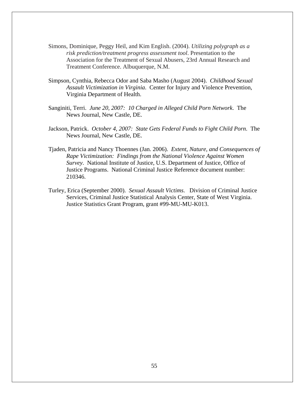- Simons, Dominique, Peggy Heil, and Kim English. (2004). *Utilizing polygraph as a risk prediction/treatment progress assessment tool*. Presentation to the Association for the Treatment of Sexual Abusers, 23rd Annual Research and Treatment Conference. Albuquerque, N.M.
- Simpson, Cynthia, Rebecca Odor and Saba Masho (August 2004). *Childhood Sexual Assault Victimization in Virginia*. Center for Injury and Violence Prevention, Virginia Department of Health.
- Sanginiti, Terri. *June 20, 2007: 10 Charged in Alleged Child Porn Network*. The News Journal, New Castle, DE.
- Jackson, Patrick. *October 4, 2007: State Gets Federal Funds to Fight Child Porn*. The News Journal, New Castle, DE.
- Tjaden, Patricia and Nancy Thoennes (Jan. 2006). *Extent, Nature, and Consequences of Rape Victimization: Findings from the National Violence Against Women Survey*. National Institute of Justice, U.S. Department of Justice, Office of Justice Programs. National Criminal Justice Reference document number: 210346.
- Turley, Erica (September 2000). *Sexual Assault Victims*. Division of Criminal Justice Services, Criminal Justice Statistical Analysis Center, State of West Virginia. Justice Statistics Grant Program, grant #99-MU-MU-K013.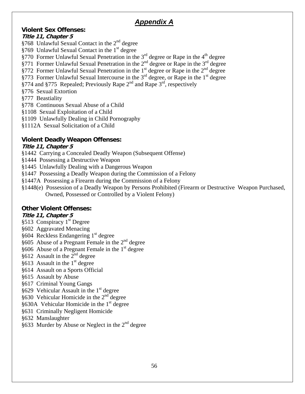# *Appendix A*

# <span id="page-63-0"></span>**Violent Sex Offenses:**

# **Title 11, Chapter 5**

- §768 Unlawful Sexual Contact in the 2<sup>nd</sup> degree
- $§769$  Unlawful Sexual Contact in the 1<sup>st</sup> degree
- $\S 770$  Former Unlawful Sexual Penetration in the 3<sup>rd</sup> degree or Rape in the 4<sup>th</sup> degree
- §771 Former Unlawful Sexual Penetration in the  $2<sup>nd</sup>$  degree or Rape in the  $3<sup>rd</sup>$  degree
- §772 Former Unlawful Sexual Penetration in the  $1<sup>st</sup>$  degree or Rape in the  $2<sup>nd</sup>$  degree
- §773 Former Unlawful Sexual Intercourse in the  $3<sup>rd</sup>$  degree, or Rape in the  $1<sup>st</sup>$  degree
- §774 and §775 Repealed; Previously Rape  $2<sup>nd</sup>$  and Rape  $3<sup>rd</sup>$ , respectively
- §776 Sexual Extortion
- §777 Beastiality
- §778 Continuous Sexual Abuse of a Child
- §1108 Sexual Exploitation of a Child
- §1109 Unlawfully Dealing in Child Pornography
- §1112A Sexual Solicitation of a Child

# **Violent Deadly Weapon Offenses:**

# **Title 11, Chapter 5**

- §1442 Carrying a Concealed Deadly Weapon (Subsequent Offense)
- §1444 Possessing a Destructive Weapon
- §1445 Unlawfully Dealing with a Dangerous Weapon
- §1447 Possessing a Deadly Weapon during the Commission of a Felony
- §1447A Possessing a Firearm during the Commission of a Felony
- §1448(e) Possession of a Deadly Weapon by Persons Prohibited (Firearm or Destructive Weapon Purchased, Owned, Possessed or Controlled by a Violent Felony)

# **Other Violent Offenses:**

## **Title 11, Chapter 5**

- §513 Conspiracy  $1<sup>st</sup>$  Degree
- §602 Aggravated Menacing
- $§604$  Reckless Endangering 1<sup>st</sup> degree
- $§605$  Abuse of a Pregnant Female in the  $2<sup>nd</sup>$  degree
- $§606$  Abuse of a Pregnant Female in the 1<sup>st</sup> degree
- §612 Assault in the  $2<sup>nd</sup>$  degree
- §613 Assault in the  $1<sup>st</sup>$  degree
- §614 Assault on a Sports Official
- §615 Assault by Abuse
- §617 Criminal Young Gangs
- §629 Vehicular Assault in the  $1<sup>st</sup>$  degree
- §630 Vehicular Homicide in the  $2<sup>nd</sup>$  degree
- $§630A$  Vehicular Homicide in the 1<sup>st</sup> degree
- §631 Criminally Negligent Homicide
- §632 Manslaughter
- §633 Murder by Abuse or Neglect in the  $2<sup>nd</sup>$  degree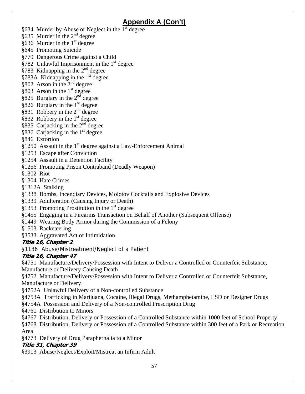# **Appendix A (Con't)**

- §634 Murder by Abuse or Neglect in the  $1<sup>st</sup>$  degree
- $§635$  Murder in the 2<sup>nd</sup> degree
- §636 Murder in the  $1<sup>st</sup>$  degree
- §645 Promoting Suicide
- §779 Dangerous Crime against a Child
- §782 Unlawful Imprisonment in the  $1<sup>st</sup>$  degree
- §783 Kidnapping in the  $2<sup>nd</sup>$  degree
- §783A Kidnapping in the 1<sup>st</sup> degree
- $§802$  Arson in the  $2<sup>nd</sup>$  degree
- $§803$  Arson in the 1<sup>st</sup> degree
- §825 Burglary in the  $2<sup>nd</sup>$  degree
- $§826$  Burglary in the 1<sup>st</sup> degree
- §831 Robbery in the 2<sup>nd</sup> degree
- §832 Robbery in the  $1<sup>st</sup>$  degree
- §835 Carjacking in the 2<sup>nd</sup> degree
- §836 Carjacking in the  $1<sup>st</sup>$  degree
- §846 Extortion
- $§1250$  Assault in the 1<sup>st</sup> degree against a Law-Enforcement Animal
- §1253 Escape after Conviction
- §1254 Assault in a Detention Facility
- §1256 Promoting Prison Contraband (Deadly Weapon)
- §1302 Riot
- §1304 Hate Crimes
- §1312A Stalking
- §1338 Bombs, Incendiary Devices, Molotov Cocktails and Explosive Devices
- §1339 Adulteration (Causing Injury or Death)
- $§1353$  Promoting Prostitution in the 1<sup>st</sup> degree
- §1455 Engaging in a Firearms Transaction on Behalf of Another (Subsequent Offense)
- §1449 Wearing Body Armor during the Commission of a Felony
- §1503 Racketeering
- §3533 Aggravated Act of Intimidation
- **Title 16, Chapter 2**
- §1136 Abuse/Mistreatment/Neglect of a Patient
- **Title 16, Chapter 47**

§4751 Manufacture/Delivery/Possession with Intent to Deliver a Controlled or Counterfeit Substance, Manufacture or Delivery Causing Death

§4752 Manufacture/Delivery/Possession with Intent to Deliver a Controlled or Counterfeit Substance, Manufacture or Delivery

§4752A Unlawful Delivery of a Non-controlled Substance

§4753A Trafficking in Marijuana, Cocaine, Illegal Drugs, Methamphetamine, LSD or Designer Drugs

§4754A Possession and Delivery of a Non-controlled Prescription Drug

§4761 Distribution to Minors

§4767 Distribution, Delivery or Possession of a Controlled Substance within 1000 feet of School Property

§4768 Distribution, Delivery or Possession of a Controlled Substance within 300 feet of a Park or Recreation Area

§4773 Delivery of Drug Paraphernalia to a Minor

## **Title 31, Chapter 39**

§3913 Abuse/Neglect/Exploit/Mistreat an Infirm Adult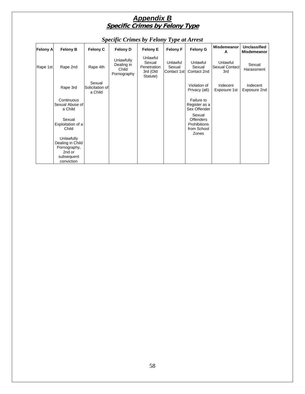# *Appendix B* **Specific Crimes by Felony Type**

<span id="page-65-0"></span>

|                 |                                                          |                                      | $\omega p$ coeffice $\omega$ , entropy $\omega$ , $\omega$ cross, |                                                           | $\lambda$                         |                                                                           |                                   |                                    |
|-----------------|----------------------------------------------------------|--------------------------------------|-------------------------------------------------------------------|-----------------------------------------------------------|-----------------------------------|---------------------------------------------------------------------------|-----------------------------------|------------------------------------|
| <b>Felony A</b> | <b>Felony B</b>                                          | Felony C                             | <b>Felony D</b>                                                   | <b>Felony E</b>                                           | <b>Felony F</b>                   | <b>Felony G</b>                                                           | <b>Misdemeanor</b><br>A           | Unclassified<br><b>Misdemeanor</b> |
| Rape 1st        | Rape 2nd                                                 | Rape 4th                             | Unlawfully<br>Dealing in<br>Child<br>Pornography                  | Unlawful<br>Sexual<br>Penetration<br>3rd (Old<br>Statute) | Unlawful<br>Sexual<br>Contact 1st | Unlawful<br>Sexual<br>Contact 2nd                                         | Unlawful<br>Sexual Contact<br>3rd | Sexual<br>Harassment               |
|                 | Rape 3rd                                                 | Sexual<br>Solicitation of<br>a Child |                                                                   |                                                           |                                   | Violation of<br>Privacy (a6)                                              | Indecent<br>Exposure 1st          | Indecent<br>Exposure 2nd           |
|                 | Continuous<br>Sexual Abuse of<br>a Child                 |                                      |                                                                   |                                                           |                                   | Failure to<br>Register as a<br>Sex Offender                               |                                   |                                    |
|                 | Sexual<br>Exploitation of a<br>Child                     |                                      |                                                                   |                                                           |                                   | Sexual<br><b>Offenders</b><br><b>Prohibitions</b><br>from School<br>Zones |                                   |                                    |
|                 | Unlawfully<br>Dealing in Child<br>Pornography,<br>2nd or |                                      |                                                                   |                                                           |                                   |                                                                           |                                   |                                    |
|                 | subsequent<br>conviction                                 |                                      |                                                                   |                                                           |                                   |                                                                           |                                   |                                    |

#### *Specific Crimes by Felony Type at Arrest*